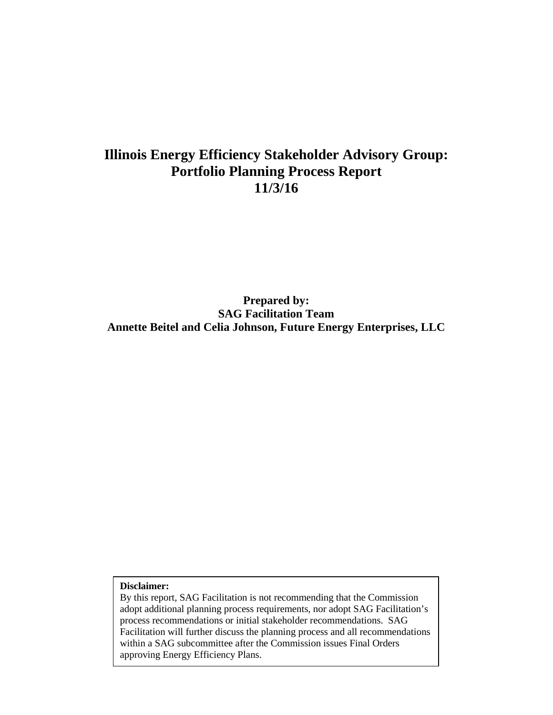# **Illinois Energy Efficiency Stakeholder Advisory Group: Portfolio Planning Process Report 11/3/16**

**Prepared by: SAG Facilitation Team Annette Beitel and Celia Johnson, Future Energy Enterprises, LLC**

**Disclaimer:**

By this report, SAG Facilitation is not recommending that the Commission adopt additional planning process requirements, nor adopt SAG Facilitation's process recommendations or initial stakeholder recommendations. SAG Facilitation will further discuss the planning process and all recommendations within a SAG subcommittee after the Commission issues Final Orders approving Energy Efficiency Plans.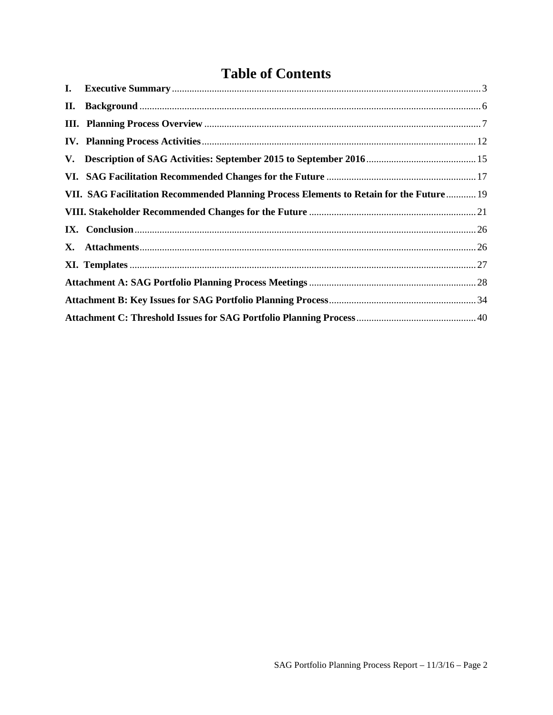# **Table of Contents**

| П. |                                                                                         |  |
|----|-----------------------------------------------------------------------------------------|--|
|    |                                                                                         |  |
|    |                                                                                         |  |
|    |                                                                                         |  |
|    |                                                                                         |  |
|    | VII. SAG Facilitation Recommended Planning Process Elements to Retain for the Future 19 |  |
|    |                                                                                         |  |
|    |                                                                                         |  |
|    |                                                                                         |  |
|    |                                                                                         |  |
|    |                                                                                         |  |
|    |                                                                                         |  |
|    |                                                                                         |  |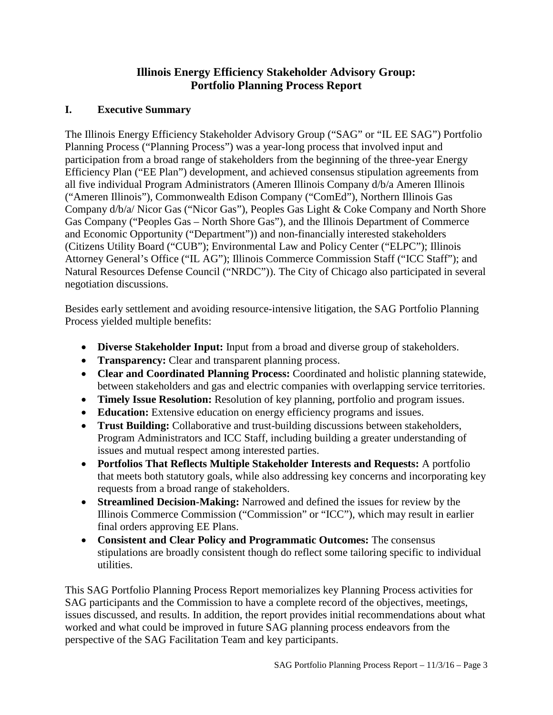# **Illinois Energy Efficiency Stakeholder Advisory Group: Portfolio Planning Process Report**

# <span id="page-2-0"></span>**I. Executive Summary**

The Illinois Energy Efficiency Stakeholder Advisory Group ("SAG" or "IL EE SAG") Portfolio Planning Process ("Planning Process") was a year-long process that involved input and participation from a broad range of stakeholders from the beginning of the three-year Energy Efficiency Plan ("EE Plan") development, and achieved consensus stipulation agreements from all five individual Program Administrators (Ameren Illinois Company d/b/a Ameren Illinois ("Ameren Illinois"), Commonwealth Edison Company ("ComEd"), Northern Illinois Gas Company d/b/a/ Nicor Gas ("Nicor Gas"), Peoples Gas Light & Coke Company and North Shore Gas Company ("Peoples Gas – North Shore Gas"), and the Illinois Department of Commerce and Economic Opportunity ("Department")) and non-financially interested stakeholders (Citizens Utility Board ("CUB"); Environmental Law and Policy Center ("ELPC"); Illinois Attorney General's Office ("IL AG"); Illinois Commerce Commission Staff ("ICC Staff"); and Natural Resources Defense Council ("NRDC")). The City of Chicago also participated in several negotiation discussions.

Besides early settlement and avoiding resource-intensive litigation, the SAG Portfolio Planning Process yielded multiple benefits:

- **Diverse Stakeholder Input:** Input from a broad and diverse group of stakeholders.
- **Transparency:** Clear and transparent planning process.
- **Clear and Coordinated Planning Process:** Coordinated and holistic planning statewide, between stakeholders and gas and electric companies with overlapping service territories.
- **Timely Issue Resolution:** Resolution of key planning, portfolio and program issues.
- **Education:** Extensive education on energy efficiency programs and issues.
- **Trust Building:** Collaborative and trust-building discussions between stakeholders, Program Administrators and ICC Staff, including building a greater understanding of issues and mutual respect among interested parties.
- **Portfolios That Reflects Multiple Stakeholder Interests and Requests:** A portfolio that meets both statutory goals, while also addressing key concerns and incorporating key requests from a broad range of stakeholders.
- **Streamlined Decision-Making:** Narrowed and defined the issues for review by the Illinois Commerce Commission ("Commission" or "ICC"), which may result in earlier final orders approving EE Plans.
- **Consistent and Clear Policy and Programmatic Outcomes:** The consensus stipulations are broadly consistent though do reflect some tailoring specific to individual utilities.

This SAG Portfolio Planning Process Report memorializes key Planning Process activities for SAG participants and the Commission to have a complete record of the objectives, meetings, issues discussed, and results. In addition, the report provides initial recommendations about what worked and what could be improved in future SAG planning process endeavors from the perspective of the SAG Facilitation Team and key participants.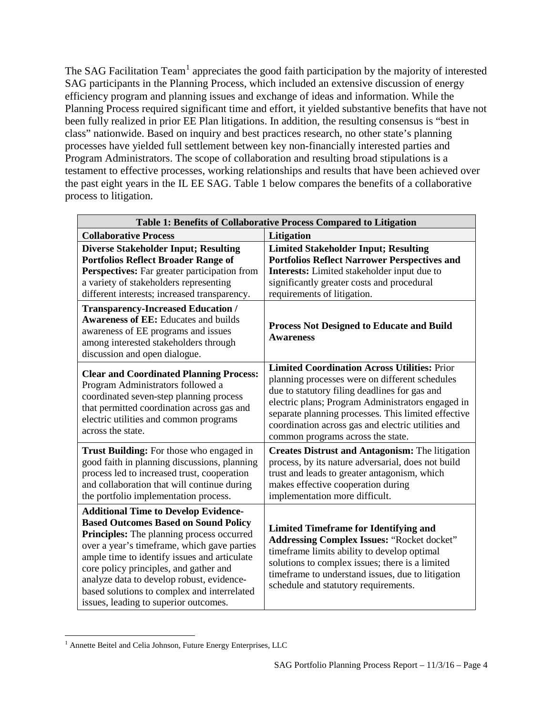The SAG Facilitation Team<sup>[1](#page-3-0)</sup> appreciates the good faith participation by the majority of interested SAG participants in the Planning Process, which included an extensive discussion of energy efficiency program and planning issues and exchange of ideas and information. While the Planning Process required significant time and effort, it yielded substantive benefits that have not been fully realized in prior EE Plan litigations. In addition, the resulting consensus is "best in class" nationwide. Based on inquiry and best practices research, no other state's planning processes have yielded full settlement between key non-financially interested parties and Program Administrators. The scope of collaboration and resulting broad stipulations is a testament to effective processes, working relationships and results that have been achieved over the past eight years in the IL EE SAG. Table 1 below compares the benefits of a collaborative process to litigation.

| Table 1: Benefits of Collaborative Process Compared to Litigation                                                                                                                                                                                                                                                                                                                                                     |                                                                                                                                                                                                                                                                                                                                                               |  |
|-----------------------------------------------------------------------------------------------------------------------------------------------------------------------------------------------------------------------------------------------------------------------------------------------------------------------------------------------------------------------------------------------------------------------|---------------------------------------------------------------------------------------------------------------------------------------------------------------------------------------------------------------------------------------------------------------------------------------------------------------------------------------------------------------|--|
| <b>Collaborative Process</b>                                                                                                                                                                                                                                                                                                                                                                                          | Litigation                                                                                                                                                                                                                                                                                                                                                    |  |
| <b>Diverse Stakeholder Input; Resulting</b><br><b>Portfolios Reflect Broader Range of</b><br>Perspectives: Far greater participation from<br>a variety of stakeholders representing<br>different interests; increased transparency.                                                                                                                                                                                   | <b>Limited Stakeholder Input; Resulting</b><br><b>Portfolios Reflect Narrower Perspectives and</b><br>Interests: Limited stakeholder input due to<br>significantly greater costs and procedural<br>requirements of litigation.                                                                                                                                |  |
| <b>Transparency-Increased Education /</b><br><b>Awareness of EE:</b> Educates and builds<br>awareness of EE programs and issues<br>among interested stakeholders through<br>discussion and open dialogue.                                                                                                                                                                                                             | <b>Process Not Designed to Educate and Build</b><br><b>Awareness</b>                                                                                                                                                                                                                                                                                          |  |
| <b>Clear and Coordinated Planning Process:</b><br>Program Administrators followed a<br>coordinated seven-step planning process<br>that permitted coordination across gas and<br>electric utilities and common programs<br>across the state.                                                                                                                                                                           | <b>Limited Coordination Across Utilities: Prior</b><br>planning processes were on different schedules<br>due to statutory filing deadlines for gas and<br>electric plans; Program Administrators engaged in<br>separate planning processes. This limited effective<br>coordination across gas and electric utilities and<br>common programs across the state. |  |
| <b>Trust Building:</b> For those who engaged in<br>good faith in planning discussions, planning<br>process led to increased trust, cooperation<br>and collaboration that will continue during<br>the portfolio implementation process.                                                                                                                                                                                | <b>Creates Distrust and Antagonism: The litigation</b><br>process, by its nature adversarial, does not build<br>trust and leads to greater antagonism, which<br>makes effective cooperation during<br>implementation more difficult.                                                                                                                          |  |
| <b>Additional Time to Develop Evidence-</b><br><b>Based Outcomes Based on Sound Policy</b><br>Principles: The planning process occurred<br>over a year's timeframe, which gave parties<br>ample time to identify issues and articulate<br>core policy principles, and gather and<br>analyze data to develop robust, evidence-<br>based solutions to complex and interrelated<br>issues, leading to superior outcomes. | <b>Limited Timeframe for Identifying and</b><br><b>Addressing Complex Issues: "Rocket docket"</b><br>timeframe limits ability to develop optimal<br>solutions to complex issues; there is a limited<br>timeframe to understand issues, due to litigation<br>schedule and statutory requirements.                                                              |  |

<span id="page-3-0"></span>l <sup>1</sup> Annette Beitel and Celia Johnson, Future Energy Enterprises, LLC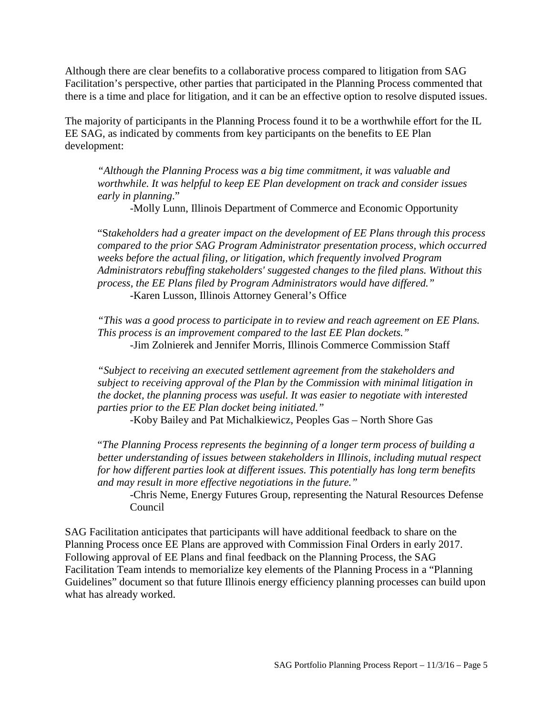Although there are clear benefits to a collaborative process compared to litigation from SAG Facilitation's perspective, other parties that participated in the Planning Process commented that there is a time and place for litigation, and it can be an effective option to resolve disputed issues.

The majority of participants in the Planning Process found it to be a worthwhile effort for the IL EE SAG, as indicated by comments from key participants on the benefits to EE Plan development:

*"Although the Planning Process was a big time commitment, it was valuable and worthwhile. It was helpful to keep EE Plan development on track and consider issues early in planning*."

-Molly Lunn, Illinois Department of Commerce and Economic Opportunity

"S*takeholders had a greater impact on the development of EE Plans through this process compared to the prior SAG Program Administrator presentation process, which occurred weeks before the actual filing, or litigation, which frequently involved Program Administrators rebuffing stakeholders' suggested changes to the filed plans. Without this process, the EE Plans filed by Program Administrators would have differed."*

-Karen Lusson, Illinois Attorney General's Office

*"This was a good process to participate in to review and reach agreement on EE Plans. This process is an improvement compared to the last EE Plan dockets."* -Jim Zolnierek and Jennifer Morris, Illinois Commerce Commission Staff

*"Subject to receiving an executed settlement agreement from the stakeholders and subject to receiving approval of the Plan by the Commission with minimal litigation in the docket, the planning process was useful. It was easier to negotiate with interested parties prior to the EE Plan docket being initiated."*

-Koby Bailey and Pat Michalkiewicz, Peoples Gas – North Shore Gas

"*The Planning Process represents the beginning of a longer term process of building a better understanding of issues between stakeholders in Illinois, including mutual respect for how different parties look at different issues. This potentially has long term benefits and may result in more effective negotiations in the future."*

-Chris Neme, Energy Futures Group, representing the Natural Resources Defense Council

SAG Facilitation anticipates that participants will have additional feedback to share on the Planning Process once EE Plans are approved with Commission Final Orders in early 2017. Following approval of EE Plans and final feedback on the Planning Process, the SAG Facilitation Team intends to memorialize key elements of the Planning Process in a "Planning Guidelines" document so that future Illinois energy efficiency planning processes can build upon what has already worked.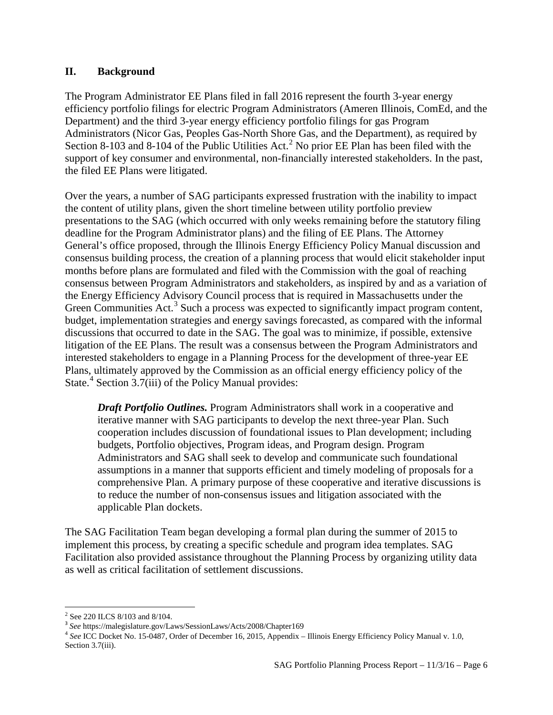### <span id="page-5-0"></span>**II. Background**

The Program Administrator EE Plans filed in fall 2016 represent the fourth 3-year energy efficiency portfolio filings for electric Program Administrators (Ameren Illinois, ComEd, and the Department) and the third 3-year energy efficiency portfolio filings for gas Program Administrators (Nicor Gas, Peoples Gas-North Shore Gas, and the Department), as required by Section 8-103 and 8-104 of the Public Utilities Act.<sup>[2](#page-5-1)</sup> No prior EE Plan has been filed with the support of key consumer and environmental, non-financially interested stakeholders. In the past, the filed EE Plans were litigated.

Over the years, a number of SAG participants expressed frustration with the inability to impact the content of utility plans, given the short timeline between utility portfolio preview presentations to the SAG (which occurred with only weeks remaining before the statutory filing deadline for the Program Administrator plans) and the filing of EE Plans. The Attorney General's office proposed, through the Illinois Energy Efficiency Policy Manual discussion and consensus building process, the creation of a planning process that would elicit stakeholder input months before plans are formulated and filed with the Commission with the goal of reaching consensus between Program Administrators and stakeholders, as inspired by and as a variation of the Energy Efficiency Advisory Council process that is required in Massachusetts under the Green Communities Act.<sup>[3](#page-5-2)</sup> Such a process was expected to significantly impact program content, budget, implementation strategies and energy savings forecasted, as compared with the informal discussions that occurred to date in the SAG. The goal was to minimize, if possible, extensive litigation of the EE Plans. The result was a consensus between the Program Administrators and interested stakeholders to engage in a Planning Process for the development of three-year EE Plans, ultimately approved by the Commission as an official energy efficiency policy of the State.<sup>[4](#page-5-3)</sup> Section 3.7(iii) of the Policy Manual provides:

*Draft Portfolio Outlines.* Program Administrators shall work in a cooperative and iterative manner with SAG participants to develop the next three-year Plan. Such cooperation includes discussion of foundational issues to Plan development; including budgets, Portfolio objectives, Program ideas, and Program design. Program Administrators and SAG shall seek to develop and communicate such foundational assumptions in a manner that supports efficient and timely modeling of proposals for a comprehensive Plan. A primary purpose of these cooperative and iterative discussions is to reduce the number of non-consensus issues and litigation associated with the applicable Plan dockets.

The SAG Facilitation Team began developing a formal plan during the summer of 2015 to implement this process, by creating a specific schedule and program idea templates. SAG Facilitation also provided assistance throughout the Planning Process by organizing utility data as well as critical facilitation of settlement discussions.

 $\overline{\phantom{a}}$ 

<span id="page-5-1"></span><sup>2</sup> See 220 ILCS 8/103 and 8/104.

<span id="page-5-2"></span><sup>3</sup> *See* https://malegislature.gov/Laws/SessionLaws/Acts/2008/Chapter169

<span id="page-5-3"></span><sup>4</sup> *See* ICC Docket No. 15-0487, Order of December 16, 2015, Appendix – Illinois Energy Efficiency Policy Manual v. 1.0, Section 3.7(iii).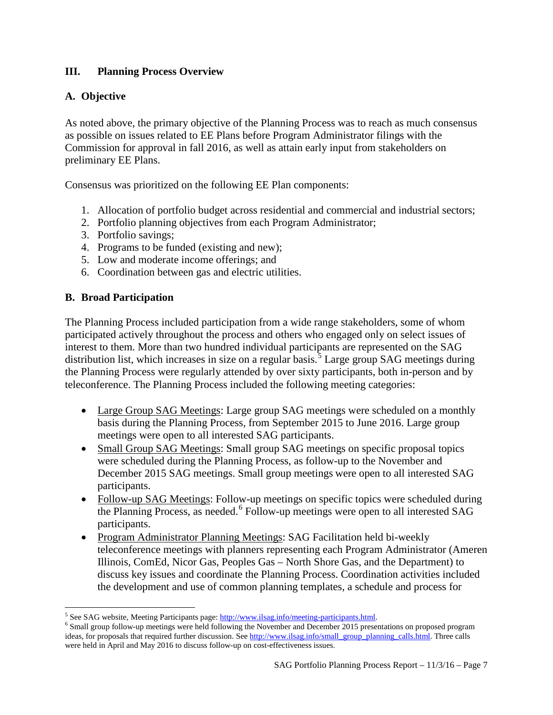# <span id="page-6-0"></span>**III. Planning Process Overview**

# **A. Objective**

As noted above, the primary objective of the Planning Process was to reach as much consensus as possible on issues related to EE Plans before Program Administrator filings with the Commission for approval in fall 2016, as well as attain early input from stakeholders on preliminary EE Plans.

Consensus was prioritized on the following EE Plan components:

- 1. Allocation of portfolio budget across residential and commercial and industrial sectors;
- 2. Portfolio planning objectives from each Program Administrator;
- 3. Portfolio savings;
- 4. Programs to be funded (existing and new);
- 5. Low and moderate income offerings; and
- 6. Coordination between gas and electric utilities.

### **B. Broad Participation**

l

The Planning Process included participation from a wide range stakeholders, some of whom participated actively throughout the process and others who engaged only on select issues of interest to them. More than two hundred individual participants are represented on the SAG distribution list, which increases in size on a regular basis.<sup>[5](#page-6-1)</sup> Large group SAG meetings during the Planning Process were regularly attended by over sixty participants, both in-person and by teleconference. The Planning Process included the following meeting categories:

- Large Group SAG Meetings: Large group SAG meetings were scheduled on a monthly basis during the Planning Process, from September 2015 to June 2016. Large group meetings were open to all interested SAG participants.
- Small Group SAG Meetings: Small group SAG meetings on specific proposal topics were scheduled during the Planning Process, as follow-up to the November and December 2015 SAG meetings. Small group meetings were open to all interested SAG participants.
- Follow-up SAG Meetings: Follow-up meetings on specific topics were scheduled during the Planning Process, as needed.<sup>[6](#page-6-2)</sup> Follow-up meetings were open to all interested SAG participants.
- Program Administrator Planning Meetings: SAG Facilitation held bi-weekly teleconference meetings with planners representing each Program Administrator (Ameren Illinois, ComEd, Nicor Gas, Peoples Gas – North Shore Gas, and the Department) to discuss key issues and coordinate the Planning Process. Coordination activities included the development and use of common planning templates, a schedule and process for

<span id="page-6-2"></span>

<span id="page-6-1"></span><sup>&</sup>lt;sup>5</sup> See SAG website, Meeting Participants page:  $\frac{http://www.ilsag.info/mecting-participants.html}{http://www.ilsag.info/mecting-participants.html}$ . ideas, for proposals that required further discussion. Se[e http://www.ilsag.info/small\\_group\\_planning\\_calls.html.](http://www.ilsag.info/small_group_planning_calls.html) Three calls were held in April and May 2016 to discuss follow-up on cost-effectiveness issues.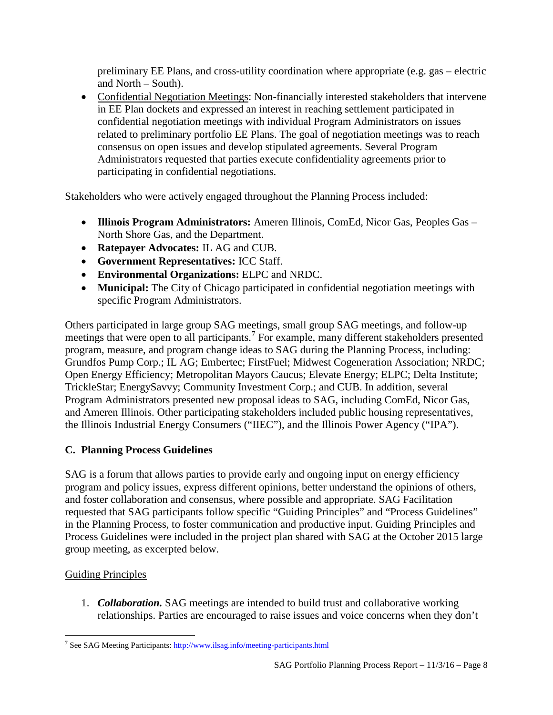preliminary EE Plans, and cross-utility coordination where appropriate (e.g. gas – electric and North – South).

• Confidential Negotiation Meetings: Non-financially interested stakeholders that intervene in EE Plan dockets and expressed an interest in reaching settlement participated in confidential negotiation meetings with individual Program Administrators on issues related to preliminary portfolio EE Plans. The goal of negotiation meetings was to reach consensus on open issues and develop stipulated agreements. Several Program Administrators requested that parties execute confidentiality agreements prior to participating in confidential negotiations.

Stakeholders who were actively engaged throughout the Planning Process included:

- **Illinois Program Administrators:** Ameren Illinois, ComEd, Nicor Gas, Peoples Gas North Shore Gas, and the Department.
- **Ratepayer Advocates:** IL AG and CUB.
- **Government Representatives:** ICC Staff.
- **Environmental Organizations:** ELPC and NRDC.
- **Municipal:** The City of Chicago participated in confidential negotiation meetings with specific Program Administrators.

Others participated in large group SAG meetings, small group SAG meetings, and follow-up meetings that were open to all participants. [7](#page-7-0) For example, many different stakeholders presented program, measure, and program change ideas to SAG during the Planning Process, including: Grundfos Pump Corp.; IL AG; Embertec; FirstFuel; Midwest Cogeneration Association; NRDC; Open Energy Efficiency; Metropolitan Mayors Caucus; Elevate Energy; ELPC; Delta Institute; TrickleStar; EnergySavvy; Community Investment Corp.; and CUB. In addition, several Program Administrators presented new proposal ideas to SAG, including ComEd, Nicor Gas, and Ameren Illinois. Other participating stakeholders included public housing representatives, the Illinois Industrial Energy Consumers ("IIEC"), and the Illinois Power Agency ("IPA").

# **C. Planning Process Guidelines**

SAG is a forum that allows parties to provide early and ongoing input on energy efficiency program and policy issues, express different opinions, better understand the opinions of others, and foster collaboration and consensus, where possible and appropriate. SAG Facilitation requested that SAG participants follow specific "Guiding Principles" and "Process Guidelines" in the Planning Process, to foster communication and productive input. Guiding Principles and Process Guidelines were included in the project plan shared with SAG at the October 2015 large group meeting, as excerpted below.

# Guiding Principles

1. *Collaboration.* SAG meetings are intended to build trust and collaborative working relationships. Parties are encouraged to raise issues and voice concerns when they don't

<span id="page-7-0"></span>l <sup>7</sup> See SAG Meeting Participants[: http://www.ilsag.info/meeting-participants.html](http://www.ilsag.info/meeting-participants.html)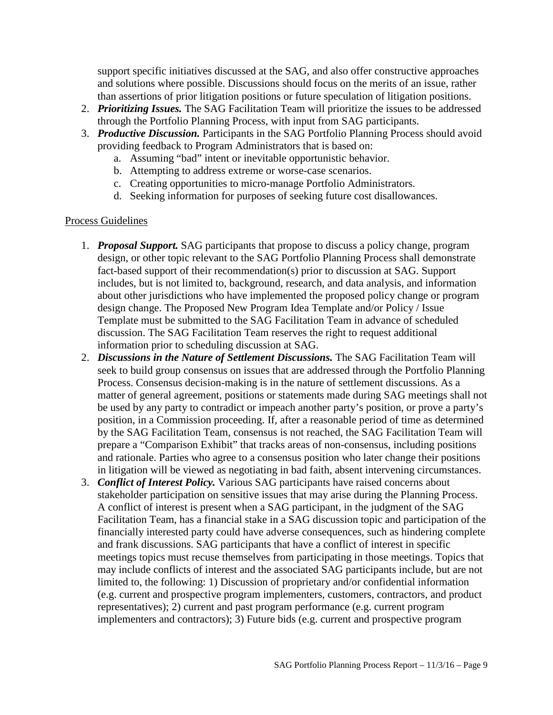support specific initiatives discussed at the SAG, and also offer constructive approaches and solutions where possible. Discussions should focus on the merits of an issue, rather than assertions of prior litigation positions or future speculation of litigation positions.

- 2. *Prioritizing Issues.* The SAG Facilitation Team will prioritize the issues to be addressed through the Portfolio Planning Process, with input from SAG participants.
- 3. *Productive Discussion.* Participants in the SAG Portfolio Planning Process should avoid providing feedback to Program Administrators that is based on:
	- a. Assuming "bad" intent or inevitable opportunistic behavior.
	- b. Attempting to address extreme or worse-case scenarios.
	- c. Creating opportunities to micro-manage Portfolio Administrators.
	- d. Seeking information for purposes of seeking future cost disallowances.

### Process Guidelines

- 1. *Proposal Support.* SAG participants that propose to discuss a policy change, program design, or other topic relevant to the SAG Portfolio Planning Process shall demonstrate fact-based support of their recommendation(s) prior to discussion at SAG. Support includes, but is not limited to, background, research, and data analysis, and information about other jurisdictions who have implemented the proposed policy change or program design change. The Proposed New Program Idea Template and/or Policy / Issue Template must be submitted to the SAG Facilitation Team in advance of scheduled discussion. The SAG Facilitation Team reserves the right to request additional information prior to scheduling discussion at SAG.
- 2. *Discussions in the Nature of Settlement Discussions.* The SAG Facilitation Team will seek to build group consensus on issues that are addressed through the Portfolio Planning Process. Consensus decision-making is in the nature of settlement discussions. As a matter of general agreement, positions or statements made during SAG meetings shall not be used by any party to contradict or impeach another party's position, or prove a party's position, in a Commission proceeding. If, after a reasonable period of time as determined by the SAG Facilitation Team, consensus is not reached, the SAG Facilitation Team will prepare a "Comparison Exhibit" that tracks areas of non-consensus, including positions and rationale. Parties who agree to a consensus position who later change their positions in litigation will be viewed as negotiating in bad faith, absent intervening circumstances.
- 3. *Conflict of Interest Policy.* Various SAG participants have raised concerns about stakeholder participation on sensitive issues that may arise during the Planning Process. A conflict of interest is present when a SAG participant, in the judgment of the SAG Facilitation Team, has a financial stake in a SAG discussion topic and participation of the financially interested party could have adverse consequences, such as hindering complete and frank discussions. SAG participants that have a conflict of interest in specific meetings topics must recuse themselves from participating in those meetings. Topics that may include conflicts of interest and the associated SAG participants include, but are not limited to, the following: 1) Discussion of proprietary and/or confidential information (e.g. current and prospective program implementers, customers, contractors, and product representatives); 2) current and past program performance (e.g. current program implementers and contractors); 3) Future bids (e.g. current and prospective program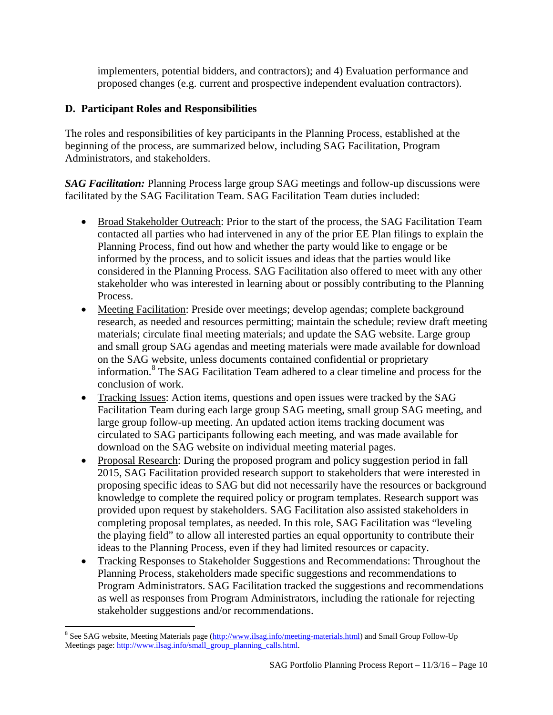implementers, potential bidders, and contractors); and 4) Evaluation performance and proposed changes (e.g. current and prospective independent evaluation contractors).

# **D. Participant Roles and Responsibilities**

The roles and responsibilities of key participants in the Planning Process, established at the beginning of the process, are summarized below, including SAG Facilitation, Program Administrators, and stakeholders.

*SAG Facilitation:* Planning Process large group SAG meetings and follow-up discussions were facilitated by the SAG Facilitation Team. SAG Facilitation Team duties included:

- Broad Stakeholder Outreach: Prior to the start of the process, the SAG Facilitation Team contacted all parties who had intervened in any of the prior EE Plan filings to explain the Planning Process, find out how and whether the party would like to engage or be informed by the process, and to solicit issues and ideas that the parties would like considered in the Planning Process. SAG Facilitation also offered to meet with any other stakeholder who was interested in learning about or possibly contributing to the Planning Process.
- Meeting Facilitation: Preside over meetings; develop agendas; complete background research, as needed and resources permitting; maintain the schedule; review draft meeting materials; circulate final meeting materials; and update the SAG website. Large group and small group SAG agendas and meeting materials were made available for download on the SAG website, unless documents contained confidential or proprietary information.[8](#page-9-0) The SAG Facilitation Team adhered to a clear timeline and process for the conclusion of work.
- Tracking Issues: Action items, questions and open issues were tracked by the SAG Facilitation Team during each large group SAG meeting, small group SAG meeting, and large group follow-up meeting. An updated action items tracking document was circulated to SAG participants following each meeting, and was made available for download on the SAG website on individual meeting material pages.
- Proposal Research: During the proposed program and policy suggestion period in fall 2015, SAG Facilitation provided research support to stakeholders that were interested in proposing specific ideas to SAG but did not necessarily have the resources or background knowledge to complete the required policy or program templates. Research support was provided upon request by stakeholders. SAG Facilitation also assisted stakeholders in completing proposal templates, as needed. In this role, SAG Facilitation was "leveling the playing field" to allow all interested parties an equal opportunity to contribute their ideas to the Planning Process, even if they had limited resources or capacity.
- Tracking Responses to Stakeholder Suggestions and Recommendations: Throughout the Planning Process, stakeholders made specific suggestions and recommendations to Program Administrators. SAG Facilitation tracked the suggestions and recommendations as well as responses from Program Administrators, including the rationale for rejecting stakeholder suggestions and/or recommendations.

<span id="page-9-0"></span> $\overline{\phantom{a}}$ <sup>8</sup> See SAG website, Meeting Materials page (*http://www.ilsag.info/meeting-materials.html*) and Small Group Follow-Up Meetings page[: http://www.ilsag.info/small\\_group\\_planning\\_calls.html.](http://www.ilsag.info/small_group_planning_calls.html)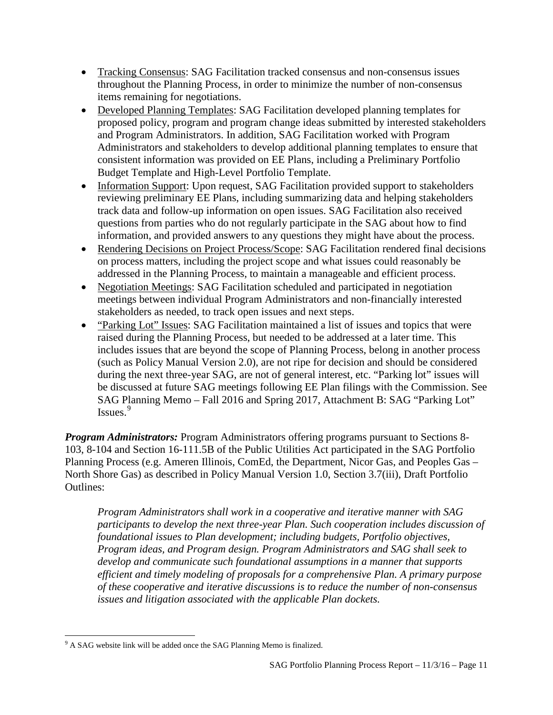- Tracking Consensus: SAG Facilitation tracked consensus and non-consensus issues throughout the Planning Process, in order to minimize the number of non-consensus items remaining for negotiations.
- Developed Planning Templates: SAG Facilitation developed planning templates for proposed policy, program and program change ideas submitted by interested stakeholders and Program Administrators. In addition, SAG Facilitation worked with Program Administrators and stakeholders to develop additional planning templates to ensure that consistent information was provided on EE Plans, including a Preliminary Portfolio Budget Template and High-Level Portfolio Template.
- Information Support: Upon request, SAG Facilitation provided support to stakeholders reviewing preliminary EE Plans, including summarizing data and helping stakeholders track data and follow-up information on open issues. SAG Facilitation also received questions from parties who do not regularly participate in the SAG about how to find information, and provided answers to any questions they might have about the process.
- Rendering Decisions on Project Process/Scope: SAG Facilitation rendered final decisions on process matters, including the project scope and what issues could reasonably be addressed in the Planning Process, to maintain a manageable and efficient process.
- Negotiation Meetings: SAG Facilitation scheduled and participated in negotiation meetings between individual Program Administrators and non-financially interested stakeholders as needed, to track open issues and next steps.
- "Parking Lot" Issues: SAG Facilitation maintained a list of issues and topics that were raised during the Planning Process, but needed to be addressed at a later time. This includes issues that are beyond the scope of Planning Process, belong in another process (such as Policy Manual Version 2.0), are not ripe for decision and should be considered during the next three-year SAG, are not of general interest, etc. "Parking lot" issues will be discussed at future SAG meetings following EE Plan filings with the Commission. See SAG Planning Memo – Fall 2016 and Spring 2017, Attachment B: SAG "Parking Lot" Issues.[9](#page-10-0)

*Program Administrators:* Program Administrators offering programs pursuant to Sections 8- 103, 8-104 and Section 16-111.5B of the Public Utilities Act participated in the SAG Portfolio Planning Process (e.g. Ameren Illinois, ComEd, the Department, Nicor Gas, and Peoples Gas – North Shore Gas) as described in Policy Manual Version 1.0, Section 3.7(iii), Draft Portfolio Outlines:

*Program Administrators shall work in a cooperative and iterative manner with SAG participants to develop the next three-year Plan. Such cooperation includes discussion of foundational issues to Plan development; including budgets, Portfolio objectives, Program ideas, and Program design. Program Administrators and SAG shall seek to develop and communicate such foundational assumptions in a manner that supports efficient and timely modeling of proposals for a comprehensive Plan. A primary purpose of these cooperative and iterative discussions is to reduce the number of non-consensus issues and litigation associated with the applicable Plan dockets.*

<span id="page-10-0"></span>l  $9$  A SAG website link will be added once the SAG Planning Memo is finalized.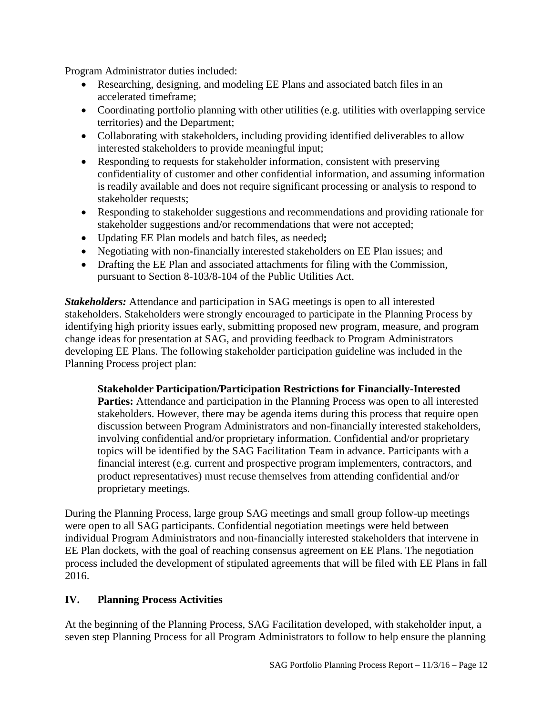Program Administrator duties included:

- Researching, designing, and modeling EE Plans and associated batch files in an accelerated timeframe;
- Coordinating portfolio planning with other utilities (e.g. utilities with overlapping service territories) and the Department;
- Collaborating with stakeholders, including providing identified deliverables to allow interested stakeholders to provide meaningful input;
- Responding to requests for stakeholder information, consistent with preserving confidentiality of customer and other confidential information, and assuming information is readily available and does not require significant processing or analysis to respond to stakeholder requests;
- Responding to stakeholder suggestions and recommendations and providing rationale for stakeholder suggestions and/or recommendations that were not accepted;
- Updating EE Plan models and batch files, as needed**;**
- Negotiating with non**-**financially interested stakeholders on EE Plan issues; and
- Drafting the EE Plan and associated attachments for filing with the Commission, pursuant to Section 8-103/8-104 of the Public Utilities Act.

*Stakeholders:* Attendance and participation in SAG meetings is open to all interested stakeholders. Stakeholders were strongly encouraged to participate in the Planning Process by identifying high priority issues early, submitting proposed new program, measure, and program change ideas for presentation at SAG, and providing feedback to Program Administrators developing EE Plans. The following stakeholder participation guideline was included in the Planning Process project plan:

**Stakeholder Participation/Participation Restrictions for Financially-Interested**  Parties: Attendance and participation in the Planning Process was open to all interested stakeholders. However, there may be agenda items during this process that require open discussion between Program Administrators and non-financially interested stakeholders, involving confidential and/or proprietary information. Confidential and/or proprietary topics will be identified by the SAG Facilitation Team in advance. Participants with a financial interest (e.g. current and prospective program implementers, contractors, and product representatives) must recuse themselves from attending confidential and/or proprietary meetings.

During the Planning Process, large group SAG meetings and small group follow-up meetings were open to all SAG participants. Confidential negotiation meetings were held between individual Program Administrators and non-financially interested stakeholders that intervene in EE Plan dockets, with the goal of reaching consensus agreement on EE Plans. The negotiation process included the development of stipulated agreements that will be filed with EE Plans in fall 2016.

## <span id="page-11-0"></span>**IV. Planning Process Activities**

At the beginning of the Planning Process, SAG Facilitation developed, with stakeholder input, a seven step Planning Process for all Program Administrators to follow to help ensure the planning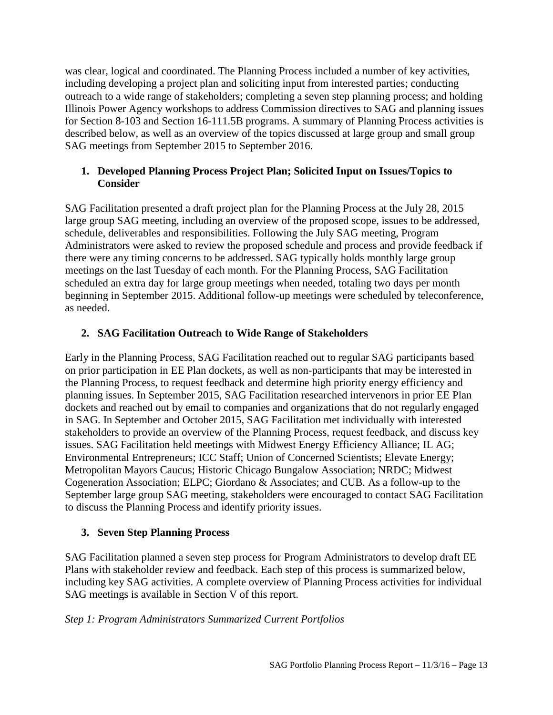was clear, logical and coordinated. The Planning Process included a number of key activities, including developing a project plan and soliciting input from interested parties; conducting outreach to a wide range of stakeholders; completing a seven step planning process; and holding Illinois Power Agency workshops to address Commission directives to SAG and planning issues for Section 8-103 and Section 16-111.5B programs. A summary of Planning Process activities is described below, as well as an overview of the topics discussed at large group and small group SAG meetings from September 2015 to September 2016.

## **1. Developed Planning Process Project Plan; Solicited Input on Issues/Topics to Consider**

SAG Facilitation presented a draft project plan for the Planning Process at the July 28, 2015 large group SAG meeting, including an overview of the proposed scope, issues to be addressed, schedule, deliverables and responsibilities. Following the July SAG meeting, Program Administrators were asked to review the proposed schedule and process and provide feedback if there were any timing concerns to be addressed. SAG typically holds monthly large group meetings on the last Tuesday of each month. For the Planning Process, SAG Facilitation scheduled an extra day for large group meetings when needed, totaling two days per month beginning in September 2015. Additional follow-up meetings were scheduled by teleconference, as needed.

# **2. SAG Facilitation Outreach to Wide Range of Stakeholders**

Early in the Planning Process, SAG Facilitation reached out to regular SAG participants based on prior participation in EE Plan dockets, as well as non-participants that may be interested in the Planning Process, to request feedback and determine high priority energy efficiency and planning issues. In September 2015, SAG Facilitation researched intervenors in prior EE Plan dockets and reached out by email to companies and organizations that do not regularly engaged in SAG. In September and October 2015, SAG Facilitation met individually with interested stakeholders to provide an overview of the Planning Process, request feedback, and discuss key issues. SAG Facilitation held meetings with Midwest Energy Efficiency Alliance; IL AG; Environmental Entrepreneurs; ICC Staff; Union of Concerned Scientists; Elevate Energy; Metropolitan Mayors Caucus; Historic Chicago Bungalow Association; NRDC; Midwest Cogeneration Association; ELPC; Giordano & Associates; and CUB. As a follow-up to the September large group SAG meeting, stakeholders were encouraged to contact SAG Facilitation to discuss the Planning Process and identify priority issues.

# **3. Seven Step Planning Process**

SAG Facilitation planned a seven step process for Program Administrators to develop draft EE Plans with stakeholder review and feedback. Each step of this process is summarized below, including key SAG activities. A complete overview of Planning Process activities for individual SAG meetings is available in Section V of this report.

# *Step 1: Program Administrators Summarized Current Portfolios*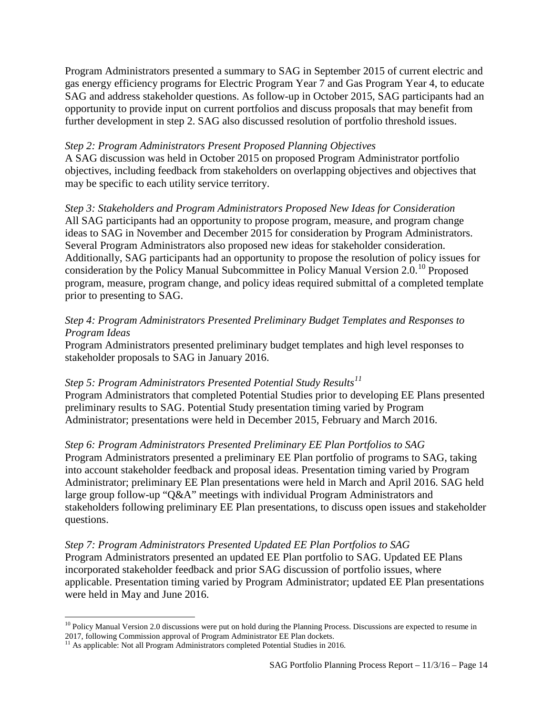Program Administrators presented a summary to SAG in September 2015 of current electric and gas energy efficiency programs for Electric Program Year 7 and Gas Program Year 4, to educate SAG and address stakeholder questions. As follow-up in October 2015, SAG participants had an opportunity to provide input on current portfolios and discuss proposals that may benefit from further development in step 2. SAG also discussed resolution of portfolio threshold issues.

### *Step 2: Program Administrators Present Proposed Planning Objectives*

A SAG discussion was held in October 2015 on proposed Program Administrator portfolio objectives, including feedback from stakeholders on overlapping objectives and objectives that may be specific to each utility service territory.

*Step 3: Stakeholders and Program Administrators Proposed New Ideas for Consideration* All SAG participants had an opportunity to propose program, measure, and program change ideas to SAG in November and December 2015 for consideration by Program Administrators. Several Program Administrators also proposed new ideas for stakeholder consideration. Additionally, SAG participants had an opportunity to propose the resolution of policy issues for consideration by the Policy Manual Subcommittee in Policy Manual Version 2.0.<sup>[10](#page-13-0)</sup> Proposed program, measure, program change, and policy ideas required submittal of a completed template prior to presenting to SAG.

## *Step 4: Program Administrators Presented Preliminary Budget Templates and Responses to Program Ideas*

Program Administrators presented preliminary budget templates and high level responses to stakeholder proposals to SAG in January 2016.

## *Step 5: Program Administrators Presented Potential Study Results[11](#page-13-1)*

Program Administrators that completed Potential Studies prior to developing EE Plans presented preliminary results to SAG. Potential Study presentation timing varied by Program Administrator; presentations were held in December 2015, February and March 2016.

## *Step 6: Program Administrators Presented Preliminary EE Plan Portfolios to SAG*

Program Administrators presented a preliminary EE Plan portfolio of programs to SAG, taking into account stakeholder feedback and proposal ideas. Presentation timing varied by Program Administrator; preliminary EE Plan presentations were held in March and April 2016. SAG held large group follow-up "Q&A" meetings with individual Program Administrators and stakeholders following preliminary EE Plan presentations, to discuss open issues and stakeholder questions.

## *Step 7: Program Administrators Presented Updated EE Plan Portfolios to SAG*

Program Administrators presented an updated EE Plan portfolio to SAG. Updated EE Plans incorporated stakeholder feedback and prior SAG discussion of portfolio issues, where applicable. Presentation timing varied by Program Administrator; updated EE Plan presentations were held in May and June 2016.

<span id="page-13-0"></span> $\overline{\phantom{a}}$  $10$  Policy Manual Version 2.0 discussions were put on hold during the Planning Process. Discussions are expected to resume in 2017, following Commission approval of Program Administrator EE Plan dockets.

<span id="page-13-1"></span><sup>&</sup>lt;sup>11</sup> As applicable: Not all Program Administrators completed Potential Studies in 2016.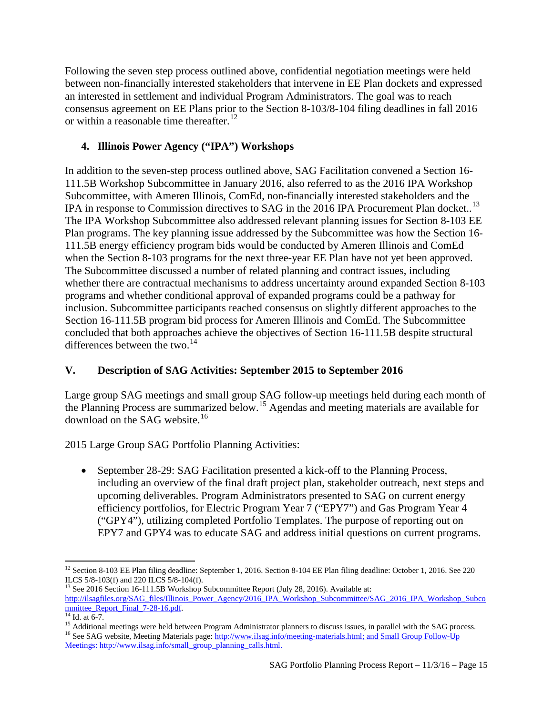Following the seven step process outlined above, confidential negotiation meetings were held between non-financially interested stakeholders that intervene in EE Plan dockets and expressed an interested in settlement and individual Program Administrators. The goal was to reach consensus agreement on EE Plans prior to the Section 8-103/8-104 filing deadlines in fall 2016 or within a reasonable time thereafter.<sup>[12](#page-14-1)</sup>

# **4. Illinois Power Agency ("IPA") Workshops**

In addition to the seven-step process outlined above, SAG Facilitation convened a Section 16- 111.5B Workshop Subcommittee in January 2016, also referred to as the 2016 IPA Workshop Subcommittee, with Ameren Illinois, ComEd, non-financially interested stakeholders and the IPA in response to Commission directives to SAG in the 2016 IPA Procurement Plan docket..<sup>[13](#page-14-2)</sup> The IPA Workshop Subcommittee also addressed relevant planning issues for Section 8-103 EE Plan programs. The key planning issue addressed by the Subcommittee was how the Section 16- 111.5B energy efficiency program bids would be conducted by Ameren Illinois and ComEd when the Section 8-103 programs for the next three-year EE Plan have not yet been approved. The Subcommittee discussed a number of related planning and contract issues, including whether there are contractual mechanisms to address uncertainty around expanded Section 8-103 programs and whether conditional approval of expanded programs could be a pathway for inclusion. Subcommittee participants reached consensus on slightly different approaches to the Section 16-111.5B program bid process for Ameren Illinois and ComEd. The Subcommittee concluded that both approaches achieve the objectives of Section 16-111.5B despite structural differences between the two. $^{14}$  $^{14}$  $^{14}$ 

# <span id="page-14-0"></span>**V. Description of SAG Activities: September 2015 to September 2016**

Large group SAG meetings and small group SAG follow-up meetings held during each month of the Planning Process are summarized below.[15](#page-14-4) Agendas and meeting materials are available for download on the SAG website.<sup>[16](#page-14-5)</sup>

2015 Large Group SAG Portfolio Planning Activities:

• September 28-29: SAG Facilitation presented a kick-off to the Planning Process, including an overview of the final draft project plan, stakeholder outreach, next steps and upcoming deliverables. Program Administrators presented to SAG on current energy efficiency portfolios, for Electric Program Year 7 ("EPY7") and Gas Program Year 4 ("GPY4"), utilizing completed Portfolio Templates. The purpose of reporting out on EPY7 and GPY4 was to educate SAG and address initial questions on current programs.

<span id="page-14-1"></span> $\overline{\phantom{a}}$ <sup>12</sup> Section 8-103 EE Plan filing deadline: September 1, 2016. Section 8-104 EE Plan filing deadline: October 1, 2016. See 220 ILCS  $5/8$ -103(f) and 220 ILCS  $5/8$ -104(f).

<span id="page-14-2"></span><sup>&</sup>lt;sup>13</sup> See 2016 Section 16-111.5B Workshop Subcommittee Report (July 28, 2016). Available at: [http://ilsagfiles.org/SAG\\_files/Illinois\\_Power\\_Agency/2016\\_IPA\\_Workshop\\_Subcommittee/SAG\\_2016\\_IPA\\_Workshop\\_Subco](http://ilsagfiles.org/SAG_files/Illinois_Power_Agency/2016_IPA_Workshop_Subcommittee/SAG_2016_IPA_Workshop_Subcommittee_Report_Final_7-28-16.pdf)mmittee Report Final 7-28-16.pdf.

<span id="page-14-4"></span><span id="page-14-3"></span><sup>&</sup>lt;sup>14</sup> Id. at 6-7.<br><sup>15</sup> Additional meetings were held between Program Administrator planners to discuss issues, in parallel with the SAG process.<br><sup>16</sup> See SAG website, Meeting Materials page: http://www.ilsag.info/meeting-m

<span id="page-14-5"></span>Meetings: http://www.ilsag.info/small\_group\_planning\_calls.html.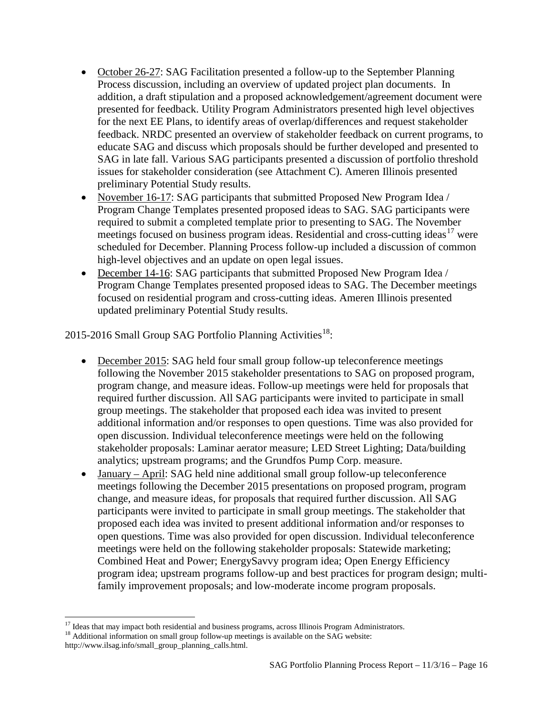- October 26-27: SAG Facilitation presented a follow-up to the September Planning Process discussion, including an overview of updated project plan documents. In addition, a draft stipulation and a proposed acknowledgement/agreement document were presented for feedback. Utility Program Administrators presented high level objectives for the next EE Plans, to identify areas of overlap/differences and request stakeholder feedback. NRDC presented an overview of stakeholder feedback on current programs, to educate SAG and discuss which proposals should be further developed and presented to SAG in late fall. Various SAG participants presented a discussion of portfolio threshold issues for stakeholder consideration (see Attachment C). Ameren Illinois presented preliminary Potential Study results.
- November 16-17: SAG participants that submitted Proposed New Program Idea / Program Change Templates presented proposed ideas to SAG. SAG participants were required to submit a completed template prior to presenting to SAG. The November meetings focused on business program ideas. Residential and cross-cutting ideas<sup>[17](#page-15-0)</sup> were scheduled for December. Planning Process follow-up included a discussion of common high-level objectives and an update on open legal issues.
- December 14-16: SAG participants that submitted Proposed New Program Idea / Program Change Templates presented proposed ideas to SAG. The December meetings focused on residential program and cross-cutting ideas. Ameren Illinois presented updated preliminary Potential Study results.

2015-2016 Small Group SAG Portfolio Planning Activities<sup>[18](#page-15-1)</sup>:

- December 2015: SAG held four small group follow-up teleconference meetings following the November 2015 stakeholder presentations to SAG on proposed program, program change, and measure ideas. Follow-up meetings were held for proposals that required further discussion. All SAG participants were invited to participate in small group meetings. The stakeholder that proposed each idea was invited to present additional information and/or responses to open questions. Time was also provided for open discussion. Individual teleconference meetings were held on the following stakeholder proposals: Laminar aerator measure; LED Street Lighting; Data/building analytics; upstream programs; and the Grundfos Pump Corp. measure.
- January April: SAG held nine additional small group follow-up teleconference meetings following the December 2015 presentations on proposed program, program change, and measure ideas, for proposals that required further discussion. All SAG participants were invited to participate in small group meetings. The stakeholder that proposed each idea was invited to present additional information and/or responses to open questions. Time was also provided for open discussion. Individual teleconference meetings were held on the following stakeholder proposals: Statewide marketing; Combined Heat and Power; EnergySavvy program idea; Open Energy Efficiency program idea; upstream programs follow-up and best practices for program design; multifamily improvement proposals; and low-moderate income program proposals.

<sup>&</sup>lt;sup>17</sup> Ideas that may impact both residential and business programs, across Illinois Program Administrators.

<span id="page-15-1"></span><span id="page-15-0"></span><sup>&</sup>lt;sup>18</sup> Additional information on small group follow-up meetings is available on the SAG website:

http://www.ilsag.info/small\_group\_planning\_calls.html.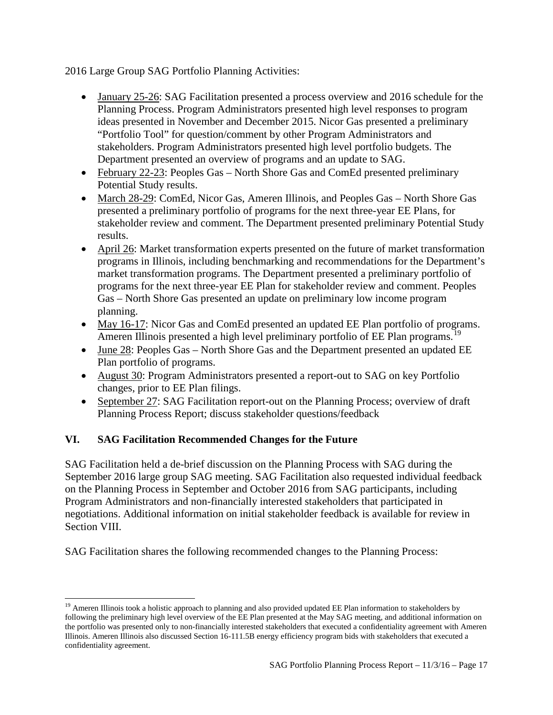2016 Large Group SAG Portfolio Planning Activities:

- January 25-26: SAG Facilitation presented a process overview and 2016 schedule for the Planning Process. Program Administrators presented high level responses to program ideas presented in November and December 2015. Nicor Gas presented a preliminary "Portfolio Tool" for question/comment by other Program Administrators and stakeholders. Program Administrators presented high level portfolio budgets. The Department presented an overview of programs and an update to SAG.
- February 22-23: Peoples Gas North Shore Gas and ComEd presented preliminary Potential Study results.
- March 28-29: ComEd, Nicor Gas, Ameren Illinois, and Peoples Gas North Shore Gas presented a preliminary portfolio of programs for the next three-year EE Plans, for stakeholder review and comment. The Department presented preliminary Potential Study results.
- April 26: Market transformation experts presented on the future of market transformation programs in Illinois, including benchmarking and recommendations for the Department's market transformation programs. The Department presented a preliminary portfolio of programs for the next three-year EE Plan for stakeholder review and comment. Peoples Gas – North Shore Gas presented an update on preliminary low income program planning.
- May 16-17: Nicor Gas and ComEd presented an updated EE Plan portfolio of programs. Ameren Illinois presented a high level preliminary portfolio of EE Plan programs.<sup>[19](#page-16-1)</sup>
- June 28: Peoples Gas North Shore Gas and the Department presented an updated EE Plan portfolio of programs.
- August 30: Program Administrators presented a report-out to SAG on key Portfolio changes, prior to EE Plan filings.
- September 27: SAG Facilitation report-out on the Planning Process; overview of draft Planning Process Report; discuss stakeholder questions/feedback

# <span id="page-16-0"></span>**VI. SAG Facilitation Recommended Changes for the Future**

 $\overline{\phantom{a}}$ 

SAG Facilitation held a de-brief discussion on the Planning Process with SAG during the September 2016 large group SAG meeting. SAG Facilitation also requested individual feedback on the Planning Process in September and October 2016 from SAG participants, including Program Administrators and non-financially interested stakeholders that participated in negotiations. Additional information on initial stakeholder feedback is available for review in Section VIII.

SAG Facilitation shares the following recommended changes to the Planning Process:

<span id="page-16-1"></span> $19$  Ameren Illinois took a holistic approach to planning and also provided updated EE Plan information to stakeholders by following the preliminary high level overview of the EE Plan presented at the May SAG meeting, and additional information on the portfolio was presented only to non-financially interested stakeholders that executed a confidentiality agreement with Ameren Illinois. Ameren Illinois also discussed Section 16-111.5B energy efficiency program bids with stakeholders that executed a confidentiality agreement.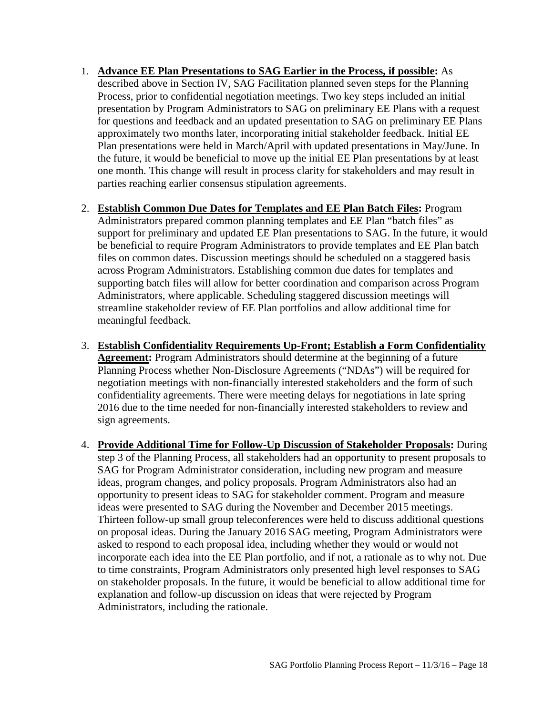- 1. **Advance EE Plan Presentations to SAG Earlier in the Process, if possible:** As described above in Section IV, SAG Facilitation planned seven steps for the Planning Process, prior to confidential negotiation meetings. Two key steps included an initial presentation by Program Administrators to SAG on preliminary EE Plans with a request for questions and feedback and an updated presentation to SAG on preliminary EE Plans approximately two months later, incorporating initial stakeholder feedback. Initial EE Plan presentations were held in March/April with updated presentations in May/June. In the future, it would be beneficial to move up the initial EE Plan presentations by at least one month. This change will result in process clarity for stakeholders and may result in parties reaching earlier consensus stipulation agreements.
- 2. **Establish Common Due Dates for Templates and EE Plan Batch Files:** Program Administrators prepared common planning templates and EE Plan "batch files" as support for preliminary and updated EE Plan presentations to SAG. In the future, it would be beneficial to require Program Administrators to provide templates and EE Plan batch files on common dates. Discussion meetings should be scheduled on a staggered basis across Program Administrators. Establishing common due dates for templates and supporting batch files will allow for better coordination and comparison across Program Administrators, where applicable. Scheduling staggered discussion meetings will streamline stakeholder review of EE Plan portfolios and allow additional time for meaningful feedback.
- 3. **Establish Confidentiality Requirements Up-Front; Establish a Form Confidentiality Agreement:** Program Administrators should determine at the beginning of a future Planning Process whether Non-Disclosure Agreements ("NDAs") will be required for negotiation meetings with non-financially interested stakeholders and the form of such confidentiality agreements. There were meeting delays for negotiations in late spring 2016 due to the time needed for non-financially interested stakeholders to review and sign agreements.
- 4. **Provide Additional Time for Follow-Up Discussion of Stakeholder Proposals:** During step 3 of the Planning Process, all stakeholders had an opportunity to present proposals to SAG for Program Administrator consideration, including new program and measure ideas, program changes, and policy proposals. Program Administrators also had an opportunity to present ideas to SAG for stakeholder comment. Program and measure ideas were presented to SAG during the November and December 2015 meetings. Thirteen follow-up small group teleconferences were held to discuss additional questions on proposal ideas. During the January 2016 SAG meeting, Program Administrators were asked to respond to each proposal idea, including whether they would or would not incorporate each idea into the EE Plan portfolio, and if not, a rationale as to why not. Due to time constraints, Program Administrators only presented high level responses to SAG on stakeholder proposals. In the future, it would be beneficial to allow additional time for explanation and follow-up discussion on ideas that were rejected by Program Administrators, including the rationale.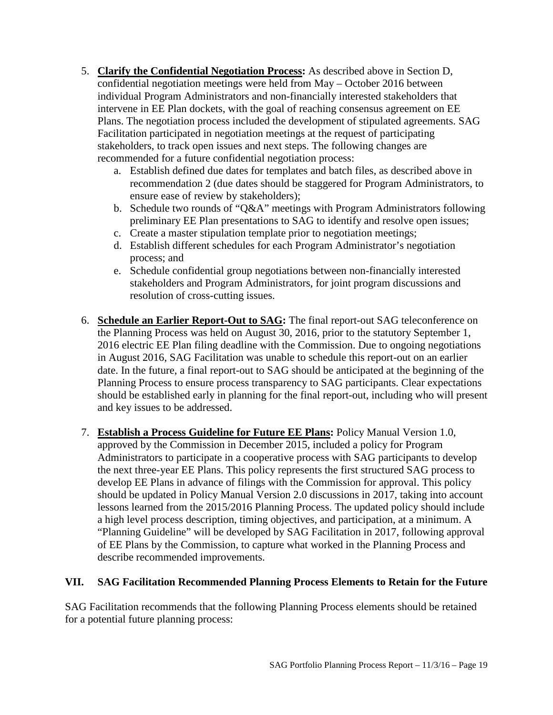- 5. **Clarify the Confidential Negotiation Process:** As described above in Section D, confidential negotiation meetings were held from May – October 2016 between individual Program Administrators and non-financially interested stakeholders that intervene in EE Plan dockets, with the goal of reaching consensus agreement on EE Plans. The negotiation process included the development of stipulated agreements. SAG Facilitation participated in negotiation meetings at the request of participating stakeholders, to track open issues and next steps. The following changes are recommended for a future confidential negotiation process:
	- a. Establish defined due dates for templates and batch files, as described above in recommendation 2 (due dates should be staggered for Program Administrators, to ensure ease of review by stakeholders);
	- b. Schedule two rounds of "Q&A" meetings with Program Administrators following preliminary EE Plan presentations to SAG to identify and resolve open issues;
	- c. Create a master stipulation template prior to negotiation meetings;
	- d. Establish different schedules for each Program Administrator's negotiation process; and
	- e. Schedule confidential group negotiations between non-financially interested stakeholders and Program Administrators, for joint program discussions and resolution of cross-cutting issues.
- 6. **Schedule an Earlier Report-Out to SAG:** The final report-out SAG teleconference on the Planning Process was held on August 30, 2016, prior to the statutory September 1, 2016 electric EE Plan filing deadline with the Commission. Due to ongoing negotiations in August 2016, SAG Facilitation was unable to schedule this report-out on an earlier date. In the future, a final report-out to SAG should be anticipated at the beginning of the Planning Process to ensure process transparency to SAG participants. Clear expectations should be established early in planning for the final report-out, including who will present and key issues to be addressed.
- 7. **Establish a Process Guideline for Future EE Plans:** Policy Manual Version 1.0, approved by the Commission in December 2015, included a policy for Program Administrators to participate in a cooperative process with SAG participants to develop the next three-year EE Plans. This policy represents the first structured SAG process to develop EE Plans in advance of filings with the Commission for approval. This policy should be updated in Policy Manual Version 2.0 discussions in 2017, taking into account lessons learned from the 2015/2016 Planning Process. The updated policy should include a high level process description, timing objectives, and participation, at a minimum. A "Planning Guideline" will be developed by SAG Facilitation in 2017, following approval of EE Plans by the Commission, to capture what worked in the Planning Process and describe recommended improvements.

## <span id="page-18-0"></span>**VII. SAG Facilitation Recommended Planning Process Elements to Retain for the Future**

SAG Facilitation recommends that the following Planning Process elements should be retained for a potential future planning process: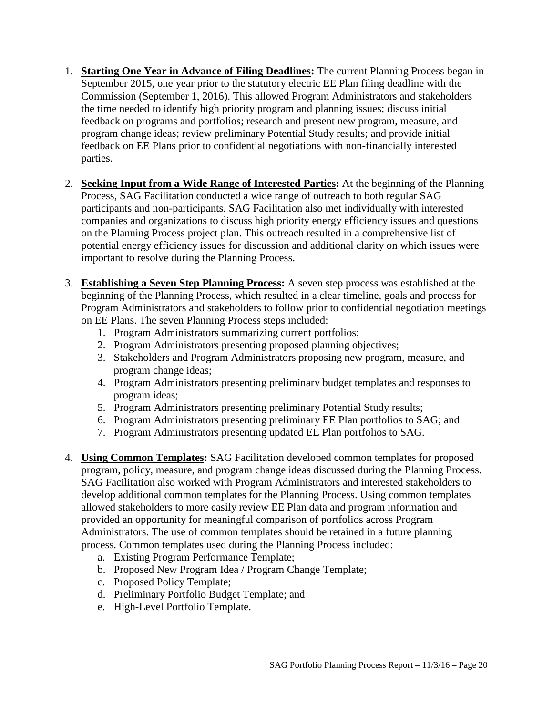- 1. **Starting One Year in Advance of Filing Deadlines:** The current Planning Process began in September 2015, one year prior to the statutory electric EE Plan filing deadline with the Commission (September 1, 2016). This allowed Program Administrators and stakeholders the time needed to identify high priority program and planning issues; discuss initial feedback on programs and portfolios; research and present new program, measure, and program change ideas; review preliminary Potential Study results; and provide initial feedback on EE Plans prior to confidential negotiations with non-financially interested parties.
- 2. **Seeking Input from a Wide Range of Interested Parties:** At the beginning of the Planning Process, SAG Facilitation conducted a wide range of outreach to both regular SAG participants and non-participants. SAG Facilitation also met individually with interested companies and organizations to discuss high priority energy efficiency issues and questions on the Planning Process project plan. This outreach resulted in a comprehensive list of potential energy efficiency issues for discussion and additional clarity on which issues were important to resolve during the Planning Process.
- 3. **Establishing a Seven Step Planning Process:** A seven step process was established at the beginning of the Planning Process, which resulted in a clear timeline, goals and process for Program Administrators and stakeholders to follow prior to confidential negotiation meetings on EE Plans. The seven Planning Process steps included:
	- 1. Program Administrators summarizing current portfolios;
	- 2. Program Administrators presenting proposed planning objectives;
	- 3. Stakeholders and Program Administrators proposing new program, measure, and program change ideas;
	- 4. Program Administrators presenting preliminary budget templates and responses to program ideas;
	- 5. Program Administrators presenting preliminary Potential Study results;
	- 6. Program Administrators presenting preliminary EE Plan portfolios to SAG; and
	- 7. Program Administrators presenting updated EE Plan portfolios to SAG.
- 4. **Using Common Templates:** SAG Facilitation developed common templates for proposed program, policy, measure, and program change ideas discussed during the Planning Process. SAG Facilitation also worked with Program Administrators and interested stakeholders to develop additional common templates for the Planning Process. Using common templates allowed stakeholders to more easily review EE Plan data and program information and provided an opportunity for meaningful comparison of portfolios across Program Administrators. The use of common templates should be retained in a future planning process. Common templates used during the Planning Process included:
	- a. Existing Program Performance Template;
	- b. Proposed New Program Idea / Program Change Template;
	- c. Proposed Policy Template;
	- d. Preliminary Portfolio Budget Template; and
	- e. High-Level Portfolio Template.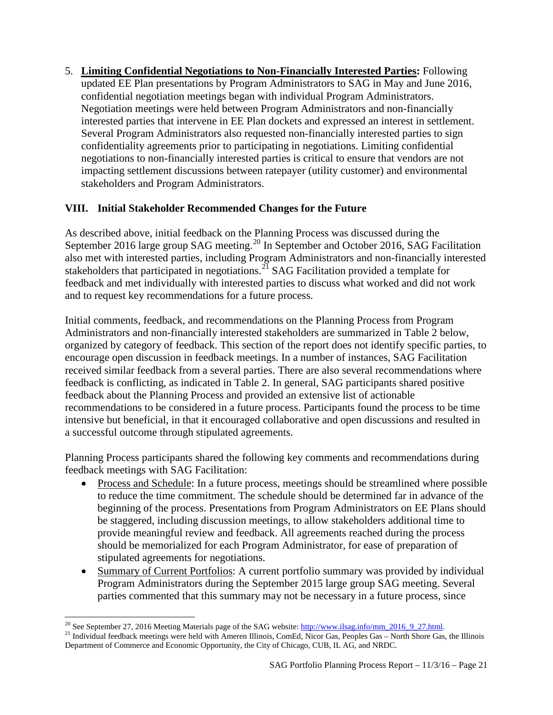5. **Limiting Confidential Negotiations to Non-Financially Interested Parties:** Following updated EE Plan presentations by Program Administrators to SAG in May and June 2016, confidential negotiation meetings began with individual Program Administrators. Negotiation meetings were held between Program Administrators and non-financially interested parties that intervene in EE Plan dockets and expressed an interest in settlement. Several Program Administrators also requested non-financially interested parties to sign confidentiality agreements prior to participating in negotiations. Limiting confidential negotiations to non-financially interested parties is critical to ensure that vendors are not impacting settlement discussions between ratepayer (utility customer) and environmental stakeholders and Program Administrators.

# <span id="page-20-0"></span>**VIII. Initial Stakeholder Recommended Changes for the Future**

As described above, initial feedback on the Planning Process was discussed during the September [20](#page-20-1)16 large group SAG meeting.<sup>20</sup> In September and October 2016, SAG Facilitation also met with interested parties, including Program Administrators and non-financially interested stakeholders that participated in negotiations.<sup>[21](#page-20-2)</sup> SAG Facilitation provided a template for feedback and met individually with interested parties to discuss what worked and did not work and to request key recommendations for a future process.

Initial comments, feedback, and recommendations on the Planning Process from Program Administrators and non-financially interested stakeholders are summarized in Table 2 below, organized by category of feedback. This section of the report does not identify specific parties, to encourage open discussion in feedback meetings. In a number of instances, SAG Facilitation received similar feedback from a several parties. There are also several recommendations where feedback is conflicting, as indicated in Table 2. In general, SAG participants shared positive feedback about the Planning Process and provided an extensive list of actionable recommendations to be considered in a future process. Participants found the process to be time intensive but beneficial, in that it encouraged collaborative and open discussions and resulted in a successful outcome through stipulated agreements.

Planning Process participants shared the following key comments and recommendations during feedback meetings with SAG Facilitation:

- Process and Schedule: In a future process, meetings should be streamlined where possible to reduce the time commitment. The schedule should be determined far in advance of the beginning of the process. Presentations from Program Administrators on EE Plans should be staggered, including discussion meetings, to allow stakeholders additional time to provide meaningful review and feedback. All agreements reached during the process should be memorialized for each Program Administrator, for ease of preparation of stipulated agreements for negotiations.
- Summary of Current Portfolios: A current portfolio summary was provided by individual Program Administrators during the September 2015 large group SAG meeting. Several parties commented that this summary may not be necessary in a future process, since

<span id="page-20-1"></span><sup>&</sup>lt;sup>20</sup> See September 27, 2016 Meeting Materials page of the SAG website: http://www.ilsag.info/mm\_2016\_9\_27.html.

<span id="page-20-2"></span><sup>&</sup>lt;sup>21</sup> Individual feedback meetings were held with Ameren Illinois, ComEd, Nicor Gas, Peoples Gas – North Shore Gas, the Illinois Department of Commerce and Economic Opportunity, the City of Chicago, CUB, IL AG, and NRDC.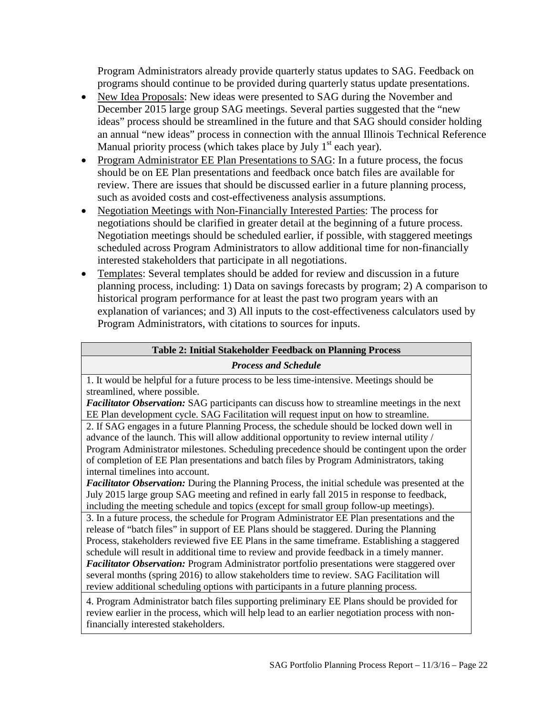Program Administrators already provide quarterly status updates to SAG. Feedback on programs should continue to be provided during quarterly status update presentations.

- New Idea Proposals: New ideas were presented to SAG during the November and December 2015 large group SAG meetings. Several parties suggested that the "new ideas" process should be streamlined in the future and that SAG should consider holding an annual "new ideas" process in connection with the annual Illinois Technical Reference Manual priority process (which takes place by July  $1<sup>st</sup>$  each year).
- Program Administrator EE Plan Presentations to SAG: In a future process, the focus should be on EE Plan presentations and feedback once batch files are available for review. There are issues that should be discussed earlier in a future planning process, such as avoided costs and cost-effectiveness analysis assumptions.
- Negotiation Meetings with Non-Financially Interested Parties: The process for negotiations should be clarified in greater detail at the beginning of a future process. Negotiation meetings should be scheduled earlier, if possible, with staggered meetings scheduled across Program Administrators to allow additional time for non-financially interested stakeholders that participate in all negotiations.
- Templates: Several templates should be added for review and discussion in a future planning process, including: 1) Data on savings forecasts by program; 2) A comparison to historical program performance for at least the past two program years with an explanation of variances; and 3) All inputs to the cost-effectiveness calculators used by Program Administrators, with citations to sources for inputs.

## **Table 2: Initial Stakeholder Feedback on Planning Process**

#### *Process and Schedule*

1. It would be helpful for a future process to be less time-intensive. Meetings should be streamlined, where possible.

*Facilitator Observation:* SAG participants can discuss how to streamline meetings in the next EE Plan development cycle. SAG Facilitation will request input on how to streamline.

2. If SAG engages in a future Planning Process, the schedule should be locked down well in advance of the launch. This will allow additional opportunity to review internal utility / Program Administrator milestones. Scheduling precedence should be contingent upon the order of completion of EE Plan presentations and batch files by Program Administrators, taking internal timelines into account.

*Facilitator Observation:* During the Planning Process, the initial schedule was presented at the July 2015 large group SAG meeting and refined in early fall 2015 in response to feedback, including the meeting schedule and topics (except for small group follow-up meetings).

3. In a future process, the schedule for Program Administrator EE Plan presentations and the release of "batch files" in support of EE Plans should be staggered. During the Planning Process, stakeholders reviewed five EE Plans in the same timeframe. Establishing a staggered schedule will result in additional time to review and provide feedback in a timely manner. *Facilitator Observation:* Program Administrator portfolio presentations were staggered over several months (spring 2016) to allow stakeholders time to review. SAG Facilitation will review additional scheduling options with participants in a future planning process.

4. Program Administrator batch files supporting preliminary EE Plans should be provided for review earlier in the process, which will help lead to an earlier negotiation process with nonfinancially interested stakeholders.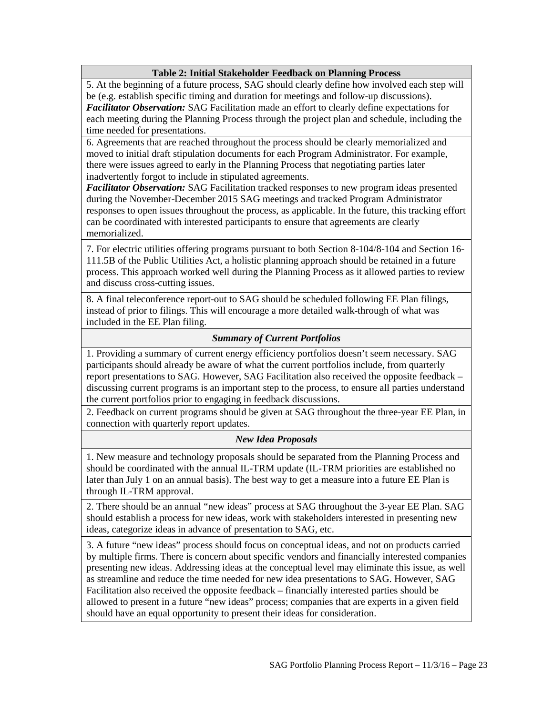#### **Table 2: Initial Stakeholder Feedback on Planning Process**

5. At the beginning of a future process, SAG should clearly define how involved each step will be (e.g. establish specific timing and duration for meetings and follow-up discussions). *Facilitator Observation:* SAG Facilitation made an effort to clearly define expectations for each meeting during the Planning Process through the project plan and schedule, including the time needed for presentations.

6. Agreements that are reached throughout the process should be clearly memorialized and moved to initial draft stipulation documents for each Program Administrator. For example, there were issues agreed to early in the Planning Process that negotiating parties later inadvertently forgot to include in stipulated agreements.

*Facilitator Observation:* SAG Facilitation tracked responses to new program ideas presented during the November-December 2015 SAG meetings and tracked Program Administrator responses to open issues throughout the process, as applicable. In the future, this tracking effort can be coordinated with interested participants to ensure that agreements are clearly memorialized.

7. For electric utilities offering programs pursuant to both Section 8-104/8-104 and Section 16- 111.5B of the Public Utilities Act, a holistic planning approach should be retained in a future process. This approach worked well during the Planning Process as it allowed parties to review and discuss cross-cutting issues.

8. A final teleconference report-out to SAG should be scheduled following EE Plan filings, instead of prior to filings. This will encourage a more detailed walk-through of what was included in the EE Plan filing.

#### *Summary of Current Portfolios*

1. Providing a summary of current energy efficiency portfolios doesn't seem necessary. SAG participants should already be aware of what the current portfolios include, from quarterly report presentations to SAG. However, SAG Facilitation also received the opposite feedback – discussing current programs is an important step to the process, to ensure all parties understand the current portfolios prior to engaging in feedback discussions.

2. Feedback on current programs should be given at SAG throughout the three-year EE Plan, in connection with quarterly report updates.

#### *New Idea Proposals*

1. New measure and technology proposals should be separated from the Planning Process and should be coordinated with the annual IL-TRM update (IL-TRM priorities are established no later than July 1 on an annual basis). The best way to get a measure into a future EE Plan is through IL-TRM approval.

2. There should be an annual "new ideas" process at SAG throughout the 3-year EE Plan. SAG should establish a process for new ideas, work with stakeholders interested in presenting new ideas, categorize ideas in advance of presentation to SAG, etc.

3. A future "new ideas" process should focus on conceptual ideas, and not on products carried by multiple firms. There is concern about specific vendors and financially interested companies presenting new ideas. Addressing ideas at the conceptual level may eliminate this issue, as well as streamline and reduce the time needed for new idea presentations to SAG. However, SAG Facilitation also received the opposite feedback – financially interested parties should be allowed to present in a future "new ideas" process; companies that are experts in a given field should have an equal opportunity to present their ideas for consideration.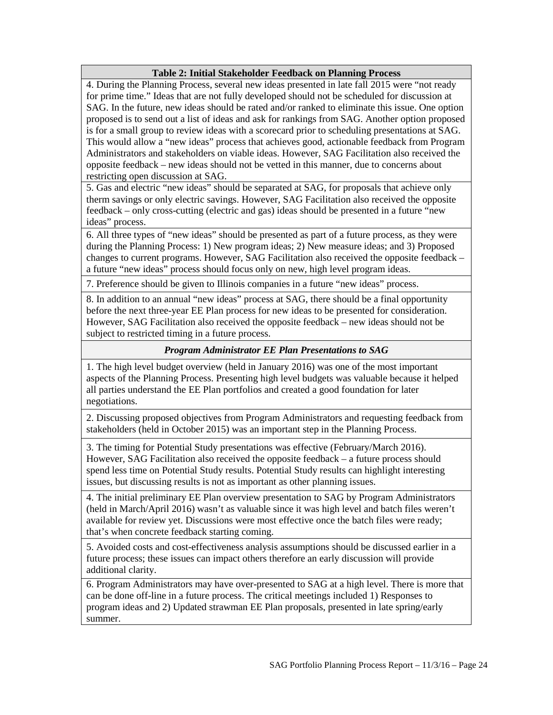#### **Table 2: Initial Stakeholder Feedback on Planning Process**

4. During the Planning Process, several new ideas presented in late fall 2015 were "not ready for prime time." Ideas that are not fully developed should not be scheduled for discussion at SAG. In the future, new ideas should be rated and/or ranked to eliminate this issue. One option proposed is to send out a list of ideas and ask for rankings from SAG. Another option proposed is for a small group to review ideas with a scorecard prior to scheduling presentations at SAG. This would allow a "new ideas" process that achieves good, actionable feedback from Program Administrators and stakeholders on viable ideas. However, SAG Facilitation also received the opposite feedback – new ideas should not be vetted in this manner, due to concerns about restricting open discussion at SAG.

5. Gas and electric "new ideas" should be separated at SAG, for proposals that achieve only therm savings or only electric savings. However, SAG Facilitation also received the opposite feedback – only cross-cutting (electric and gas) ideas should be presented in a future "new ideas" process.

6. All three types of "new ideas" should be presented as part of a future process, as they were during the Planning Process: 1) New program ideas; 2) New measure ideas; and 3) Proposed changes to current programs. However, SAG Facilitation also received the opposite feedback – a future "new ideas" process should focus only on new, high level program ideas.

7. Preference should be given to Illinois companies in a future "new ideas" process.

8. In addition to an annual "new ideas" process at SAG, there should be a final opportunity before the next three-year EE Plan process for new ideas to be presented for consideration. However, SAG Facilitation also received the opposite feedback – new ideas should not be subject to restricted timing in a future process.

#### *Program Administrator EE Plan Presentations to SAG*

1. The high level budget overview (held in January 2016) was one of the most important aspects of the Planning Process. Presenting high level budgets was valuable because it helped all parties understand the EE Plan portfolios and created a good foundation for later negotiations.

2. Discussing proposed objectives from Program Administrators and requesting feedback from stakeholders (held in October 2015) was an important step in the Planning Process.

3. The timing for Potential Study presentations was effective (February/March 2016). However, SAG Facilitation also received the opposite feedback – a future process should spend less time on Potential Study results. Potential Study results can highlight interesting issues, but discussing results is not as important as other planning issues.

4. The initial preliminary EE Plan overview presentation to SAG by Program Administrators (held in March/April 2016) wasn't as valuable since it was high level and batch files weren't available for review yet. Discussions were most effective once the batch files were ready; that's when concrete feedback starting coming.

5. Avoided costs and cost-effectiveness analysis assumptions should be discussed earlier in a future process; these issues can impact others therefore an early discussion will provide additional clarity.

6. Program Administrators may have over-presented to SAG at a high level. There is more that can be done off-line in a future process. The critical meetings included 1) Responses to program ideas and 2) Updated strawman EE Plan proposals, presented in late spring/early summer.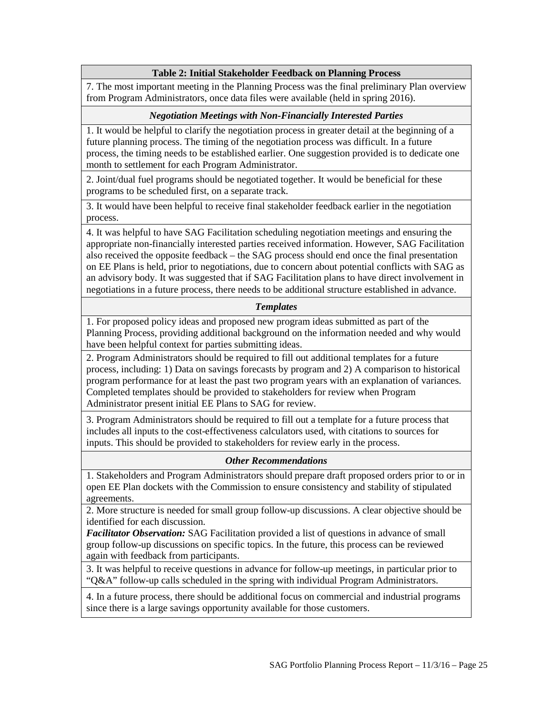#### **Table 2: Initial Stakeholder Feedback on Planning Process**

7. The most important meeting in the Planning Process was the final preliminary Plan overview from Program Administrators, once data files were available (held in spring 2016).

#### *Negotiation Meetings with Non-Financially Interested Parties*

1. It would be helpful to clarify the negotiation process in greater detail at the beginning of a future planning process. The timing of the negotiation process was difficult. In a future process, the timing needs to be established earlier. One suggestion provided is to dedicate one month to settlement for each Program Administrator.

2. Joint/dual fuel programs should be negotiated together. It would be beneficial for these programs to be scheduled first, on a separate track.

3. It would have been helpful to receive final stakeholder feedback earlier in the negotiation process.

4. It was helpful to have SAG Facilitation scheduling negotiation meetings and ensuring the appropriate non-financially interested parties received information. However, SAG Facilitation also received the opposite feedback – the SAG process should end once the final presentation on EE Plans is held, prior to negotiations, due to concern about potential conflicts with SAG as an advisory body. It was suggested that if SAG Facilitation plans to have direct involvement in negotiations in a future process, there needs to be additional structure established in advance.

#### *Templates*

1. For proposed policy ideas and proposed new program ideas submitted as part of the Planning Process, providing additional background on the information needed and why would have been helpful context for parties submitting ideas.

2. Program Administrators should be required to fill out additional templates for a future process, including: 1) Data on savings forecasts by program and 2) A comparison to historical program performance for at least the past two program years with an explanation of variances. Completed templates should be provided to stakeholders for review when Program Administrator present initial EE Plans to SAG for review.

3. Program Administrators should be required to fill out a template for a future process that includes all inputs to the cost-effectiveness calculators used, with citations to sources for inputs. This should be provided to stakeholders for review early in the process.

#### *Other Recommendations*

1. Stakeholders and Program Administrators should prepare draft proposed orders prior to or in open EE Plan dockets with the Commission to ensure consistency and stability of stipulated agreements.

2. More structure is needed for small group follow-up discussions. A clear objective should be identified for each discussion.

*Facilitator Observation:* SAG Facilitation provided a list of questions in advance of small group follow-up discussions on specific topics. In the future, this process can be reviewed again with feedback from participants.

3. It was helpful to receive questions in advance for follow-up meetings, in particular prior to "Q&A" follow-up calls scheduled in the spring with individual Program Administrators.

4. In a future process, there should be additional focus on commercial and industrial programs since there is a large savings opportunity available for those customers.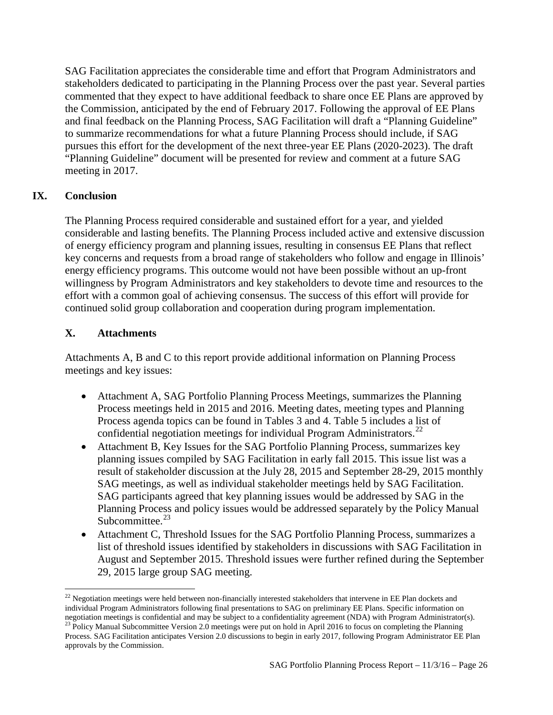SAG Facilitation appreciates the considerable time and effort that Program Administrators and stakeholders dedicated to participating in the Planning Process over the past year. Several parties commented that they expect to have additional feedback to share once EE Plans are approved by the Commission, anticipated by the end of February 2017. Following the approval of EE Plans and final feedback on the Planning Process, SAG Facilitation will draft a "Planning Guideline" to summarize recommendations for what a future Planning Process should include, if SAG pursues this effort for the development of the next three-year EE Plans (2020-2023). The draft "Planning Guideline" document will be presented for review and comment at a future SAG meeting in 2017.

# **IX. Conclusion**

l

<span id="page-25-0"></span>The Planning Process required considerable and sustained effort for a year, and yielded considerable and lasting benefits. The Planning Process included active and extensive discussion of energy efficiency program and planning issues, resulting in consensus EE Plans that reflect key concerns and requests from a broad range of stakeholders who follow and engage in Illinois' energy efficiency programs. This outcome would not have been possible without an up-front willingness by Program Administrators and key stakeholders to devote time and resources to the effort with a common goal of achieving consensus. The success of this effort will provide for continued solid group collaboration and cooperation during program implementation.

# <span id="page-25-1"></span>**X. Attachments**

Attachments A, B and C to this report provide additional information on Planning Process meetings and key issues:

- Attachment A, SAG Portfolio Planning Process Meetings, summarizes the Planning Process meetings held in 2015 and 2016. Meeting dates, meeting types and Planning Process agenda topics can be found in Tables 3 and 4. Table 5 includes a list of confidential negotiation meetings for individual Program Administrators.<sup>[22](#page-25-2)</sup>
- Attachment B, Key Issues for the SAG Portfolio Planning Process, summarizes key planning issues compiled by SAG Facilitation in early fall 2015. This issue list was a result of stakeholder discussion at the July 28, 2015 and September 28-29, 2015 monthly SAG meetings, as well as individual stakeholder meetings held by SAG Facilitation. SAG participants agreed that key planning issues would be addressed by SAG in the Planning Process and policy issues would be addressed separately by the Policy Manual Subcommittee.<sup>[23](#page-25-3)</sup>
- Attachment C, Threshold Issues for the SAG Portfolio Planning Process, summarizes a list of threshold issues identified by stakeholders in discussions with SAG Facilitation in August and September 2015. Threshold issues were further refined during the September 29, 2015 large group SAG meeting.

<span id="page-25-2"></span> $22$  Negotiation meetings were held between non-financially interested stakeholders that intervene in EE Plan dockets and individual Program Administrators following final presentations to SAG on preliminary EE Plans. Specific information on negotiation meetings is confidential and may be subject to a confidentiality agreement (NDA) with Program Administrator(s).<br><sup>23</sup> Policy Manual Subcommittee Version 2.0 meetings were put on hold in April 2016 to focus on co

<span id="page-25-3"></span>Process. SAG Facilitation anticipates Version 2.0 discussions to begin in early 2017, following Program Administrator EE Plan approvals by the Commission.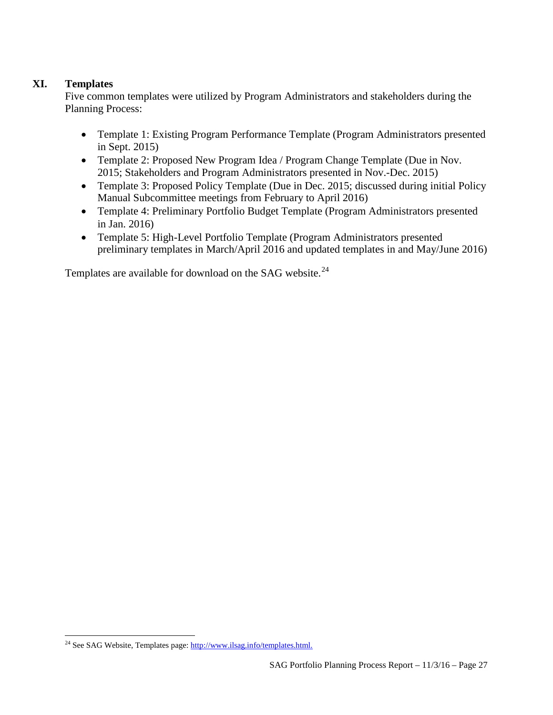# **XI. Templates**

l

<span id="page-26-0"></span>Five common templates were utilized by Program Administrators and stakeholders during the Planning Process:

- Template 1: Existing Program Performance Template (Program Administrators presented in Sept. 2015)
- Template 2: Proposed New Program Idea / Program Change Template (Due in Nov. 2015; Stakeholders and Program Administrators presented in Nov.-Dec. 2015)
- Template 3: Proposed Policy Template (Due in Dec. 2015; discussed during initial Policy Manual Subcommittee meetings from February to April 2016)
- Template 4: Preliminary Portfolio Budget Template (Program Administrators presented in Jan. 2016)
- Template 5: High-Level Portfolio Template (Program Administrators presented preliminary templates in March/April 2016 and updated templates in and May/June 2016)

Templates are available for download on the SAG website.<sup>[24](#page-26-1)</sup>

<span id="page-26-1"></span><sup>&</sup>lt;sup>24</sup> See SAG Website, Templates page: [http://www.ilsag.info/templates.html.](http://www.ilsag.info/templates.html)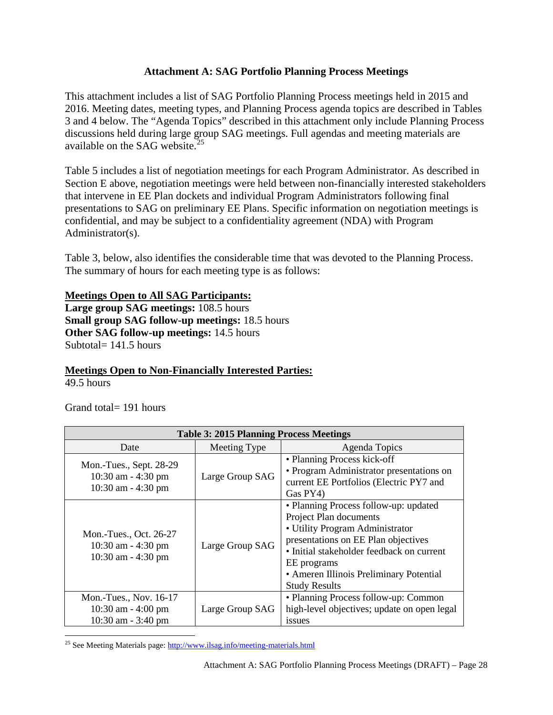### **Attachment A: SAG Portfolio Planning Process Meetings**

<span id="page-27-0"></span>This attachment includes a list of SAG Portfolio Planning Process meetings held in 2015 and 2016. Meeting dates, meeting types, and Planning Process agenda topics are described in Tables 3 and 4 below. The "Agenda Topics" described in this attachment only include Planning Process discussions held during large group SAG meetings. Full agendas and meeting materials are available on the SAG website.<sup>2</sup>

Table 5 includes a list of negotiation meetings for each Program Administrator. As described in Section E above, negotiation meetings were held between non-financially interested stakeholders that intervene in EE Plan dockets and individual Program Administrators following final presentations to SAG on preliminary EE Plans. Specific information on negotiation meetings is confidential, and may be subject to a confidentiality agreement (NDA) with Program Administrator(s).

Table 3, below, also identifies the considerable time that was devoted to the Planning Process. The summary of hours for each meeting type is as follows:

#### **Meetings Open to All SAG Participants:**

**Large group SAG meetings:** 108.5 hours **Small group SAG follow-up meetings:** 18.5 hours **Other SAG follow-up meetings:** 14.5 hours Subtotal= 141.5 hours

#### **Meetings Open to Non-Financially Interested Parties:**

 $49.5$  hours

Grand total= 191 hours

| <b>Table 3: 2015 Planning Process Meetings</b>                           |                 |                                                                                                                                                                                                                                                                          |
|--------------------------------------------------------------------------|-----------------|--------------------------------------------------------------------------------------------------------------------------------------------------------------------------------------------------------------------------------------------------------------------------|
| Date                                                                     | Meeting Type    | Agenda Topics                                                                                                                                                                                                                                                            |
| Mon.-Tues., Sept. 28-29<br>10:30 am $-$ 4:30 pm<br>10:30 am $-$ 4:30 pm  | Large Group SAG | • Planning Process kick-off<br>• Program Administrator presentations on<br>current EE Portfolios (Electric PY7 and<br>Gas PY4)                                                                                                                                           |
| Mon.-Tues., Oct. 26-27<br>$10:30$ am $-4:30$ pm<br>10:30 am - 4:30 pm    | Large Group SAG | • Planning Process follow-up: updated<br>Project Plan documents<br>· Utility Program Administrator<br>presentations on EE Plan objectives<br>• Initial stakeholder feedback on current<br>EE programs<br>• Ameren Illinois Preliminary Potential<br><b>Study Results</b> |
| Mon.-Tues., Nov. 16-17<br>$10:30$ am $-4:00$ pm<br>$10:30$ am $-3:40$ pm | Large Group SAG | • Planning Process follow-up: Common<br>high-level objectives; update on open legal<br>issues                                                                                                                                                                            |

<span id="page-27-1"></span>l <sup>25</sup> See Meeting Materials page[: http://www.ilsag.info/meeting-materials.html](http://www.ilsag.info/meeting-materials.html)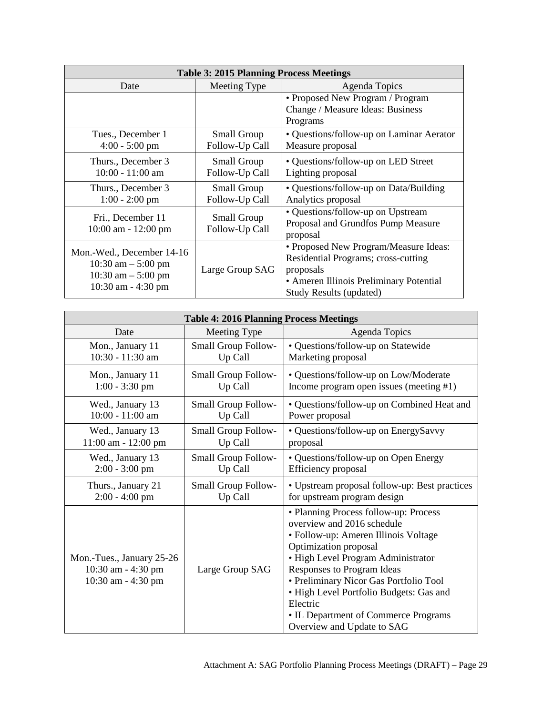| <b>Table 3: 2015 Planning Process Meetings</b>                                                      |                               |                                                                                                                                                                        |  |
|-----------------------------------------------------------------------------------------------------|-------------------------------|------------------------------------------------------------------------------------------------------------------------------------------------------------------------|--|
| Date                                                                                                | Meeting Type                  | Agenda Topics                                                                                                                                                          |  |
|                                                                                                     |                               | • Proposed New Program / Program<br>Change / Measure Ideas: Business                                                                                                   |  |
|                                                                                                     |                               | Programs                                                                                                                                                               |  |
| Tues., December 1<br>$4:00 - 5:00$ pm                                                               | Small Group<br>Follow-Up Call | • Questions/follow-up on Laminar Aerator<br>Measure proposal                                                                                                           |  |
| Thurs., December 3<br>$10:00 - 11:00$ am                                                            | Small Group<br>Follow-Up Call | • Questions/follow-up on LED Street<br>Lighting proposal                                                                                                               |  |
| Thurs., December 3<br>$1:00 - 2:00$ pm                                                              | Small Group<br>Follow-Up Call | • Questions/follow-up on Data/Building<br>Analytics proposal                                                                                                           |  |
| Fri., December 11<br>$10:00$ am $-12:00$ pm                                                         | Small Group<br>Follow-Up Call | • Questions/follow-up on Upstream<br>Proposal and Grundfos Pump Measure<br>proposal                                                                                    |  |
| Mon.-Wed., December 14-16<br>$10:30$ am $-5:00$ pm<br>10:30 am $-$ 5:00 pm<br>$10:30$ am $-4:30$ pm | Large Group SAG               | • Proposed New Program/Measure Ideas:<br>Residential Programs; cross-cutting<br>proposals<br>• Ameren Illinois Preliminary Potential<br><b>Study Results (updated)</b> |  |

| <b>Table 4: 2016 Planning Process Meetings</b>                        |                            |                                                                                                                                                                                                                                                                                                                                                                                 |  |
|-----------------------------------------------------------------------|----------------------------|---------------------------------------------------------------------------------------------------------------------------------------------------------------------------------------------------------------------------------------------------------------------------------------------------------------------------------------------------------------------------------|--|
| Date                                                                  | Meeting Type               | Agenda Topics                                                                                                                                                                                                                                                                                                                                                                   |  |
| Mon., January 11                                                      | Small Group Follow-        | · Questions/follow-up on Statewide                                                                                                                                                                                                                                                                                                                                              |  |
| 10:30 - 11:30 am                                                      | Up Call                    | Marketing proposal                                                                                                                                                                                                                                                                                                                                                              |  |
| Mon., January 11                                                      | <b>Small Group Follow-</b> | • Questions/follow-up on Low/Moderate                                                                                                                                                                                                                                                                                                                                           |  |
| $1:00 - 3:30$ pm                                                      | Up Call                    | Income program open issues (meeting #1)                                                                                                                                                                                                                                                                                                                                         |  |
| Wed., January 13                                                      | <b>Small Group Follow-</b> | • Questions/follow-up on Combined Heat and                                                                                                                                                                                                                                                                                                                                      |  |
| $10:00 - 11:00$ am                                                    | Up Call                    | Power proposal                                                                                                                                                                                                                                                                                                                                                                  |  |
| Wed., January 13                                                      | Small Group Follow-        | • Questions/follow-up on EnergySavvy                                                                                                                                                                                                                                                                                                                                            |  |
| 11:00 am - 12:00 pm                                                   | Up Call                    | proposal                                                                                                                                                                                                                                                                                                                                                                        |  |
| Wed., January 13                                                      | Small Group Follow-        | • Questions/follow-up on Open Energy                                                                                                                                                                                                                                                                                                                                            |  |
| $2:00 - 3:00$ pm                                                      | Up Call                    | Efficiency proposal                                                                                                                                                                                                                                                                                                                                                             |  |
| Thurs., January 21                                                    | <b>Small Group Follow-</b> | • Upstream proposal follow-up: Best practices                                                                                                                                                                                                                                                                                                                                   |  |
| $2:00 - 4:00$ pm                                                      | Up Call                    | for upstream program design                                                                                                                                                                                                                                                                                                                                                     |  |
| Mon.-Tues., January 25-26<br>10:30 am - 4:30 pm<br>10:30 am - 4:30 pm | Large Group SAG            | • Planning Process follow-up: Process<br>overview and 2016 schedule<br>• Follow-up: Ameren Illinois Voltage<br>Optimization proposal<br>· High Level Program Administrator<br>Responses to Program Ideas<br>• Preliminary Nicor Gas Portfolio Tool<br>· High Level Portfolio Budgets: Gas and<br>Electric<br>• IL Department of Commerce Programs<br>Overview and Update to SAG |  |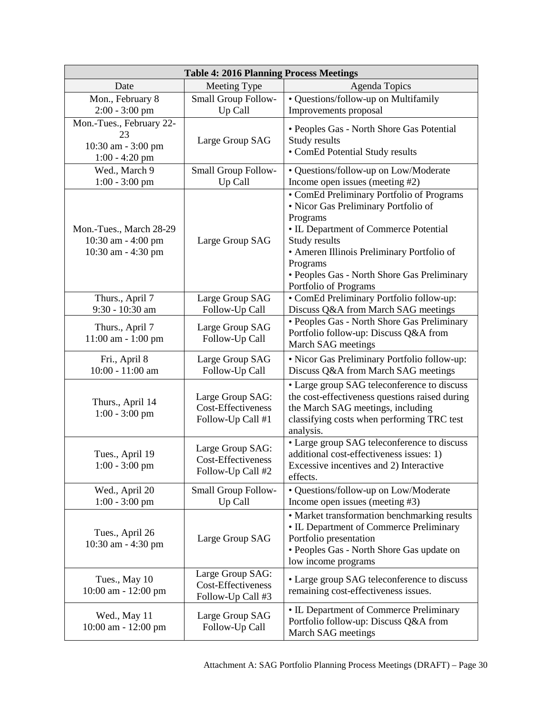| <b>Table 4: 2016 Planning Process Meetings</b>                           |                                                                    |                                                                                                                                                                                                                                                                                           |
|--------------------------------------------------------------------------|--------------------------------------------------------------------|-------------------------------------------------------------------------------------------------------------------------------------------------------------------------------------------------------------------------------------------------------------------------------------------|
| Date                                                                     | Meeting Type                                                       | <b>Agenda Topics</b>                                                                                                                                                                                                                                                                      |
| Mon., February 8<br>$2:00 - 3:00$ pm                                     | Small Group Follow-<br>Up Call                                     | • Questions/follow-up on Multifamily<br>Improvements proposal                                                                                                                                                                                                                             |
| Mon.-Tues., February 22-<br>23<br>10:30 am - 3:00 pm<br>$1:00 - 4:20$ pm | Large Group SAG                                                    | • Peoples Gas - North Shore Gas Potential<br>Study results<br>• ComEd Potential Study results                                                                                                                                                                                             |
| Wed., March 9<br>$1:00 - 3:00$ pm                                        | Small Group Follow-<br>Up Call                                     | • Questions/follow-up on Low/Moderate<br>Income open issues (meeting #2)                                                                                                                                                                                                                  |
| Mon.-Tues., March 28-29<br>10:30 am - 4:00 pm<br>10:30 am - 4:30 pm      | Large Group SAG                                                    | • ComEd Preliminary Portfolio of Programs<br>· Nicor Gas Preliminary Portfolio of<br>Programs<br>• IL Department of Commerce Potential<br>Study results<br>• Ameren Illinois Preliminary Portfolio of<br>Programs<br>• Peoples Gas - North Shore Gas Preliminary<br>Portfolio of Programs |
| Thurs., April 7<br>9:30 - 10:30 am                                       | Large Group SAG<br>Follow-Up Call                                  | • ComEd Preliminary Portfolio follow-up:<br>Discuss Q&A from March SAG meetings                                                                                                                                                                                                           |
| Thurs., April 7<br>11:00 am - 1:00 pm                                    | Large Group SAG<br>Follow-Up Call                                  | • Peoples Gas - North Shore Gas Preliminary<br>Portfolio follow-up: Discuss Q&A from<br>March SAG meetings                                                                                                                                                                                |
| Fri., April 8<br>10:00 - 11:00 am                                        | Large Group SAG<br>Follow-Up Call                                  | • Nicor Gas Preliminary Portfolio follow-up:<br>Discuss Q&A from March SAG meetings                                                                                                                                                                                                       |
| Thurs., April 14<br>$1:00 - 3:00$ pm                                     | Large Group SAG:<br><b>Cost-Effectiveness</b><br>Follow-Up Call #1 | • Large group SAG teleconference to discuss<br>the cost-effectiveness questions raised during<br>the March SAG meetings, including<br>classifying costs when performing TRC test<br>analysis.                                                                                             |
| Tues., April 19<br>$1:00 - 3:00$ pm                                      | Large Group SAG:<br>Cost-Effectiveness<br>Follow-Up Call #2        | • Large group SAG teleconference to discuss<br>additional cost-effectiveness issues: 1)<br>Excessive incentives and 2) Interactive<br>effects.                                                                                                                                            |
| Wed., April 20<br>$1:00 - 3:00$ pm                                       | Small Group Follow-<br>Up Call                                     | • Questions/follow-up on Low/Moderate<br>Income open issues (meeting #3)                                                                                                                                                                                                                  |
| Tues., April 26<br>10:30 am - 4:30 pm                                    | Large Group SAG                                                    | • Market transformation benchmarking results<br>• IL Department of Commerce Preliminary<br>Portfolio presentation<br>• Peoples Gas - North Shore Gas update on<br>low income programs                                                                                                     |
| Tues., May 10<br>10:00 am - 12:00 pm                                     | Large Group SAG:<br>Cost-Effectiveness<br>Follow-Up Call #3        | • Large group SAG teleconference to discuss<br>remaining cost-effectiveness issues.                                                                                                                                                                                                       |
| Wed., May 11<br>10:00 am - 12:00 pm                                      | Large Group SAG<br>Follow-Up Call                                  | • IL Department of Commerce Preliminary<br>Portfolio follow-up: Discuss Q&A from<br>March SAG meetings                                                                                                                                                                                    |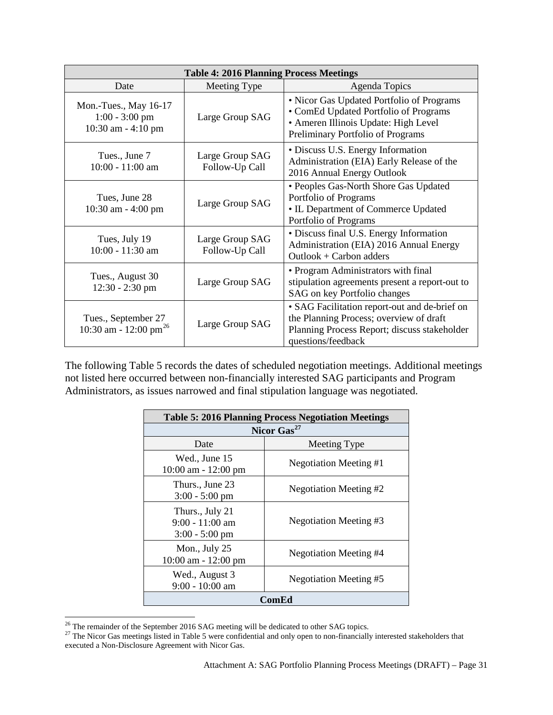| <b>Table 4: 2016 Planning Process Meetings</b>                  |                                   |                                                                                                                                                                 |
|-----------------------------------------------------------------|-----------------------------------|-----------------------------------------------------------------------------------------------------------------------------------------------------------------|
| Date                                                            | Meeting Type                      | Agenda Topics                                                                                                                                                   |
| Mon.-Tues., May 16-17<br>$1:00 - 3:00$ pm<br>10:30 am - 4:10 pm | Large Group SAG                   | • Nicor Gas Updated Portfolio of Programs<br>• ComEd Updated Portfolio of Programs<br>• Ameren Illinois Update: High Level<br>Preliminary Portfolio of Programs |
| Tues., June 7<br>10:00 - 11:00 am                               | Large Group SAG<br>Follow-Up Call | • Discuss U.S. Energy Information<br>Administration (EIA) Early Release of the<br>2016 Annual Energy Outlook                                                    |
| Tues, June 28<br>10:30 am - 4:00 pm                             | Large Group SAG                   | • Peoples Gas-North Shore Gas Updated<br>Portfolio of Programs<br>• IL Department of Commerce Updated<br>Portfolio of Programs                                  |
| Tues, July 19<br>10:00 - 11:30 am                               | Large Group SAG<br>Follow-Up Call | · Discuss final U.S. Energy Information<br>Administration (EIA) 2016 Annual Energy<br>$Outlook + Carbon address$                                                |
| Tues., August 30<br>$12:30 - 2:30$ pm                           | Large Group SAG                   | • Program Administrators with final<br>stipulation agreements present a report-out to<br>SAG on key Portfolio changes                                           |
| Tues., September 27<br>10:30 am - 12:00 pm <sup>26</sup>        | Large Group SAG                   | • SAG Facilitation report-out and de-brief on<br>the Planning Process; overview of draft<br>Planning Process Report; discuss stakeholder<br>questions/feedback  |

The following Table 5 records the dates of scheduled negotiation meetings. Additional meetings not listed here occurred between non-financially interested SAG participants and Program Administrators, as issues narrowed and final stipulation language was negotiated.

| <b>Table 5: 2016 Planning Process Negotiation Meetings</b> |                        |  |
|------------------------------------------------------------|------------------------|--|
| Nicor Gas <sup>27</sup>                                    |                        |  |
| Date                                                       | Meeting Type           |  |
| Wed., June 15<br>$10:00$ am $-12:00$ pm                    | Negotiation Meeting #1 |  |
| Thurs., June 23<br>$3:00 - 5:00$ pm                        | Negotiation Meeting #2 |  |
| Thurs., July 21<br>$9:00 - 11:00$ am<br>$3:00 - 5:00$ pm   | Negotiation Meeting #3 |  |
| Mon., July $25$<br>$10:00$ am $-12:00$ pm                  | Negotiation Meeting #4 |  |
| Wed., August 3<br>$9:00 - 10:00$ am                        | Negotiation Meeting #5 |  |
| ComEd                                                      |                        |  |

<span id="page-30-0"></span> $26$  The remainder of the September 2016 SAG meeting will be dedicated to other SAG topics.

<span id="page-30-1"></span><sup>&</sup>lt;sup>27</sup> The Nicor Gas meetings listed in Table 5 were confidential and only open to non-financially interested stakeholders that  $\frac{27}{100}$ executed a Non-Disclosure Agreement with Nicor Gas.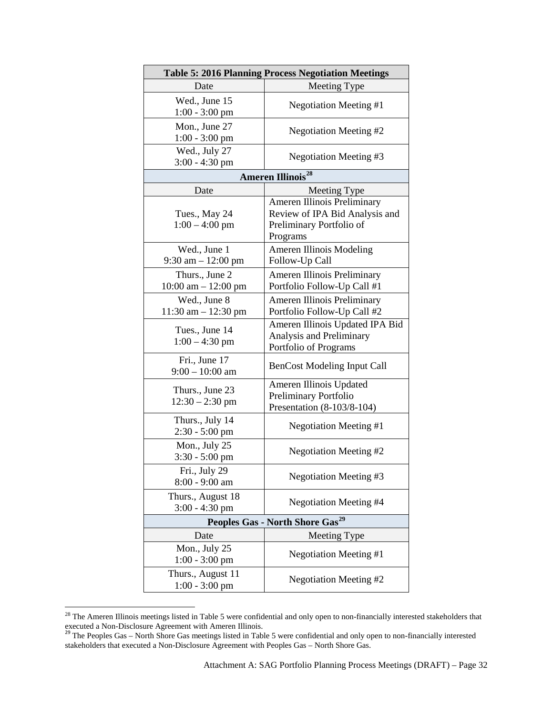|                                             | <b>Table 5: 2016 Planning Process Negotiation Meetings</b>                                                   |  |
|---------------------------------------------|--------------------------------------------------------------------------------------------------------------|--|
| Date                                        | Meeting Type                                                                                                 |  |
| Wed., June 15<br>$1:00 - 3:00$ pm           | <b>Negotiation Meeting #1</b>                                                                                |  |
| Mon., June 27<br>1:00 - 3:00 pm             | <b>Negotiation Meeting #2</b>                                                                                |  |
| Wed., July 27<br>$3:00 - 4:30$ pm           | Negotiation Meeting #3                                                                                       |  |
|                                             | <b>Ameren Illinois<sup>28</sup></b>                                                                          |  |
| Date                                        | Meeting Type                                                                                                 |  |
| Tues., May 24<br>$1:00 - 4:00$ pm           | <b>Ameren Illinois Preliminary</b><br>Review of IPA Bid Analysis and<br>Preliminary Portfolio of<br>Programs |  |
| Wed., June 1<br>$9:30$ am $-12:00$ pm       | Ameren Illinois Modeling<br>Follow-Up Call                                                                   |  |
| Thurs., June 2<br>$10:00$ am $- 12:00$ pm   | <b>Ameren Illinois Preliminary</b><br>Portfolio Follow-Up Call #1                                            |  |
| Wed., June 8<br>$11:30$ am $- 12:30$ pm     | <b>Ameren Illinois Preliminary</b><br>Portfolio Follow-Up Call #2                                            |  |
| Tues., June 14<br>$1:00 - 4:30$ pm          | Ameren Illinois Updated IPA Bid<br>Analysis and Preliminary<br>Portfolio of Programs                         |  |
| Fri., June 17<br>$9:00 - 10:00$ am          | <b>BenCost Modeling Input Call</b>                                                                           |  |
| Thurs., June 23<br>$12:30 - 2:30$ pm        | Ameren Illinois Updated<br>Preliminary Portfolio<br>Presentation (8-103/8-104)                               |  |
| Thurs., July 14<br>2:30 - 5:00 pm           | <b>Negotiation Meeting #1</b>                                                                                |  |
| Mon., July 25<br>$3:30 - 5:00$ pm           | <b>Negotiation Meeting #2</b>                                                                                |  |
| Fri., July 29<br>8:00 - 9:00 am             | Negotiation Meeting #3                                                                                       |  |
| Thurs., August 18<br>$3:00 - 4:30$ pm       | <b>Negotiation Meeting #4</b>                                                                                |  |
| Peoples Gas - North Shore Gas <sup>29</sup> |                                                                                                              |  |
| Date                                        | Meeting Type                                                                                                 |  |
| Mon., July 25<br>1:00 - 3:00 pm             | <b>Negotiation Meeting #1</b>                                                                                |  |
| Thurs., August 11<br>$1:00 - 3:00$ pm       | <b>Negotiation Meeting #2</b>                                                                                |  |

<span id="page-31-0"></span> $28$  The Ameren Illinois meetings listed in Table 5 were confidential and only open to non-financially interested stakeholders that executed a Non-Disclosure Agreement with Ameren Illinois.<br><sup>29</sup> The Peoples Gas – North Shore Gas meetings listed in Table 5 were confidential and only open to non-financially interested<br><sup>29</sup> The Peoples Gas – North Shore G

 $\overline{\phantom{a}}$ 

<span id="page-31-1"></span>stakeholders that executed a Non-Disclosure Agreement with Peoples Gas – North Shore Gas.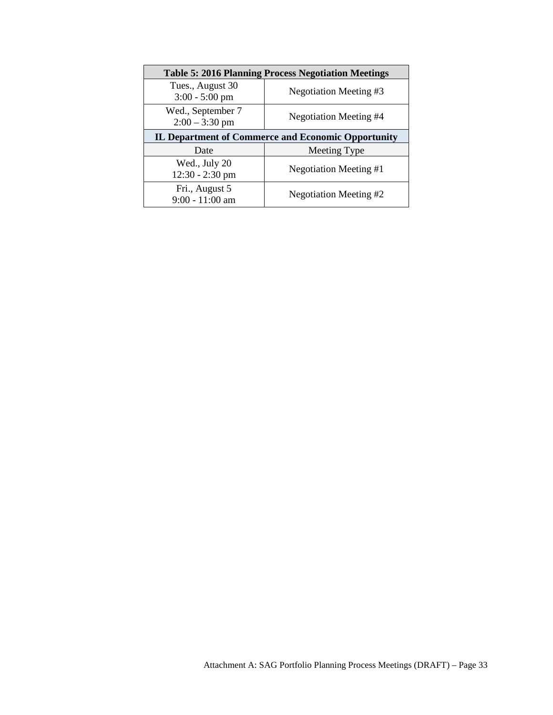| <b>Table 5: 2016 Planning Process Negotiation Meetings</b> |                        |  |
|------------------------------------------------------------|------------------------|--|
| Tues., August 30<br>$3:00 - 5:00$ pm                       | Negotiation Meeting #3 |  |
| Wed., September 7<br>$2:00 - 3:30$ pm                      | Negotiation Meeting #4 |  |
| <b>IL Department of Commerce and Economic Opportunity</b>  |                        |  |
| Date                                                       | Meeting Type           |  |
| Wed., July 20<br>$12:30 - 2:30$ pm                         | Negotiation Meeting #1 |  |
| Fri., August 5<br>9:00 - 11:00 am                          | Negotiation Meeting #2 |  |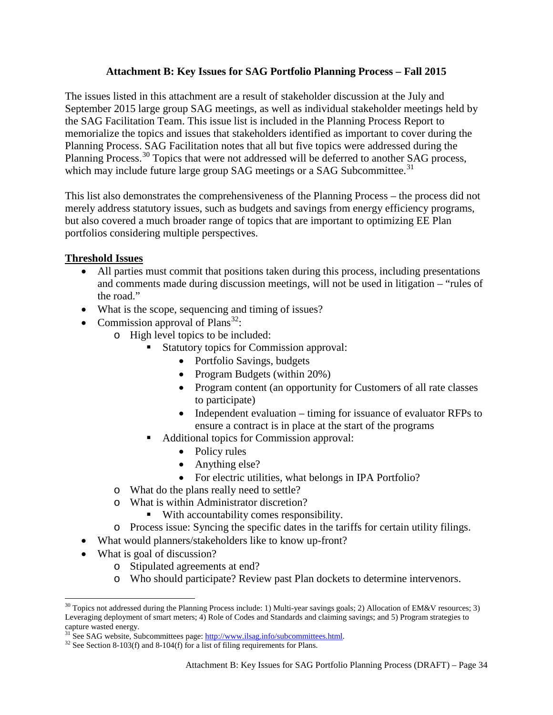## **Attachment B: Key Issues for SAG Portfolio Planning Process – Fall 2015**

<span id="page-33-0"></span>The issues listed in this attachment are a result of stakeholder discussion at the July and September 2015 large group SAG meetings, as well as individual stakeholder meetings held by the SAG Facilitation Team. This issue list is included in the Planning Process Report to memorialize the topics and issues that stakeholders identified as important to cover during the Planning Process. SAG Facilitation notes that all but five topics were addressed during the Planning Process.<sup>[30](#page-33-1)</sup> Topics that were not addressed will be deferred to another SAG process, which may include future large group SAG meetings or a SAG Subcommittee.<sup>[31](#page-33-2)</sup>

This list also demonstrates the comprehensiveness of the Planning Process – the process did not merely address statutory issues, such as budgets and savings from energy efficiency programs, but also covered a much broader range of topics that are important to optimizing EE Plan portfolios considering multiple perspectives.

# **Threshold Issues**

- All parties must commit that positions taken during this process, including presentations and comments made during discussion meetings, will not be used in litigation – "rules of the road."
- What is the scope, sequencing and timing of issues?
- Commission approval of Plans<sup>[32](#page-33-3)</sup>:
	- o High level topics to be included:
		- Statutory topics for Commission approval:
			- Portfolio Savings, budgets
			- Program Budgets (within 20%)
			- Program content (an opportunity for Customers of all rate classes to participate)
			- Independent evaluation timing for issuance of evaluator RFPs to ensure a contract is in place at the start of the programs
		- Additional topics for Commission approval:
			- Policy rules
			- Anything else?
			- For electric utilities, what belongs in IPA Portfolio?
	- o What do the plans really need to settle?
	- o What is within Administrator discretion?
		- With accountability comes responsibility.
	- o Process issue: Syncing the specific dates in the tariffs for certain utility filings.
- What would planners/stakeholders like to know up-front?
- What is goal of discussion?
	- o Stipulated agreements at end?
	- o Who should participate? Review past Plan dockets to determine intervenors.

<span id="page-33-1"></span> $\overline{\phantom{a}}$  $30$  Topics not addressed during the Planning Process include: 1) Multi-year savings goals; 2) Allocation of EM&V resources; 3) Leveraging deployment of smart meters; 4) Role of Codes and Standards and claiming savings; and 5) Program strategies to capture wasted energy.

<span id="page-33-2"></span><sup>&</sup>lt;sup>31</sup> See SAG website, Subcommittees page:  $\frac{http://www.ilsag.info/subcommittees.html}{http://www.ilsag.info/subcommittees.html}$ . <sup>32</sup> See Section 8-103(f) and 8-104(f) for a list of filing requirements for Plans.

<span id="page-33-3"></span>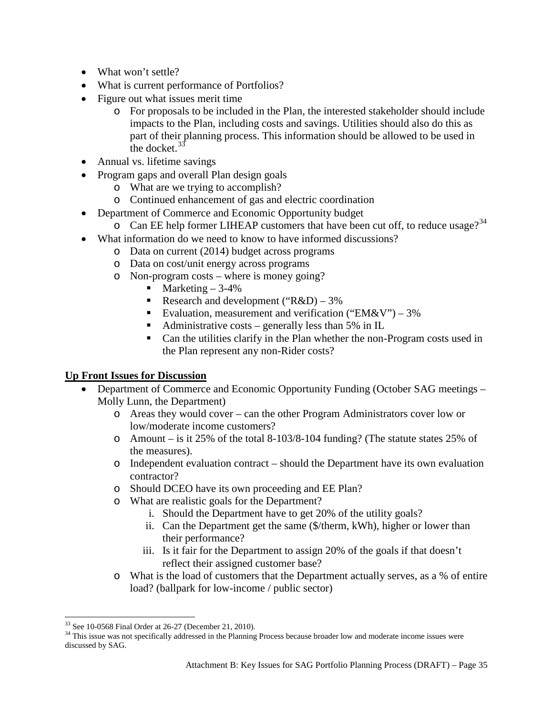- What won't settle?
- What is current performance of Portfolios?
- Figure out what issues merit time
	- o For proposals to be included in the Plan, the interested stakeholder should include impacts to the Plan, including costs and savings. Utilities should also do this as part of their planning process. This information should be allowed to be used in the docket.<sup>[33](#page-34-0)</sup>
- Annual vs. lifetime savings
- Program gaps and overall Plan design goals
	- o What are we trying to accomplish?
	- o Continued enhancement of gas and electric coordination
- Department of Commerce and Economic Opportunity budget
	- $\circ$  Can EE help former LIHEAP customers that have been cut off, to reduce usage?<sup>[34](#page-34-1)</sup>
- What information do we need to know to have informed discussions?
	- o Data on current (2014) budget across programs
	- o Data on cost/unit energy across programs
	- o Non-program costs where is money going?
		- $\blacksquare$  Marketing  $-3-4\%$
		- Research and development (" $R&D$ ) 3%
		- Evaluation, measurement and verification (" $EM&V$ ") 3%
		- Administrative costs generally less than 5% in IL
		- Can the utilities clarify in the Plan whether the non-Program costs used in the Plan represent any non-Rider costs?

# **Up Front Issues for Discussion**

- Department of Commerce and Economic Opportunity Funding (October SAG meetings Molly Lunn, the Department)
	- o Areas they would cover can the other Program Administrators cover low or low/moderate income customers?
	- $\circ$  Amount is it 25% of the total 8-103/8-104 funding? (The statute states 25% of the measures).
	- o Independent evaluation contract should the Department have its own evaluation contractor?
	- o Should DCEO have its own proceeding and EE Plan?
	- o What are realistic goals for the Department?
		- i. Should the Department have to get 20% of the utility goals?
		- ii. Can the Department get the same (\$/therm, kWh), higher or lower than their performance?
		- iii. Is it fair for the Department to assign 20% of the goals if that doesn't reflect their assigned customer base?
	- o What is the load of customers that the Department actually serves, as a % of entire load? (ballpark for low-income / public sector)

<sup>&</sup>lt;sup>33</sup> See 10-0568 Final Order at 26-27 (December 21, 2010).

<span id="page-34-1"></span><span id="page-34-0"></span><sup>&</sup>lt;sup>34</sup> This issue was not specifically addressed in the Planning Process because broader low and moderate income issues were discussed by SAG.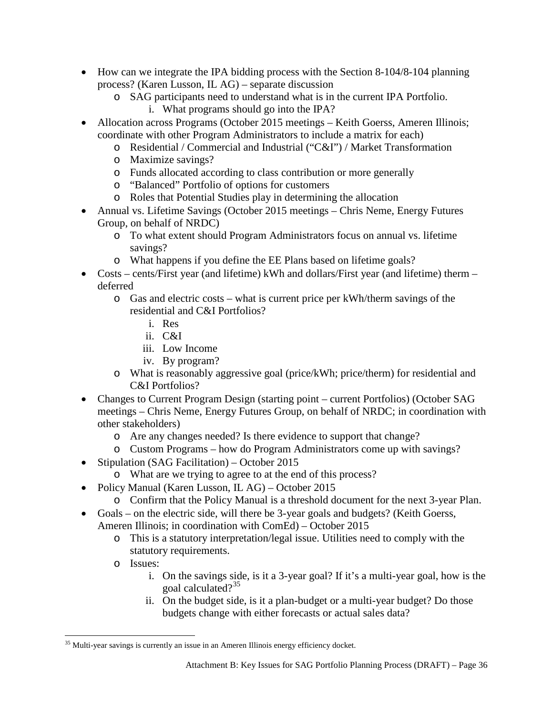- How can we integrate the IPA bidding process with the Section 8-104/8-104 planning process? (Karen Lusson, IL AG) – separate discussion
	- o SAG participants need to understand what is in the current IPA Portfolio.
		- i. What programs should go into the IPA?
- Allocation across Programs (October 2015 meetings Keith Goerss, Ameren Illinois; coordinate with other Program Administrators to include a matrix for each)
	- o Residential / Commercial and Industrial ("C&I") / Market Transformation
	- o Maximize savings?
	- o Funds allocated according to class contribution or more generally
	- o "Balanced" Portfolio of options for customers
	- o Roles that Potential Studies play in determining the allocation
- Annual vs. Lifetime Savings (October 2015 meetings Chris Neme, Energy Futures Group, on behalf of NRDC)
	- o To what extent should Program Administrators focus on annual vs. lifetime savings?
	- o What happens if you define the EE Plans based on lifetime goals?
- Costs cents/First year (and lifetime) kWh and dollars/First year (and lifetime) therm deferred
	- o Gas and electric costs what is current price per kWh/therm savings of the residential and C&I Portfolios?
		- i. Res
		- ii. C&I
		- iii. Low Income
		- iv. By program?
	- o What is reasonably aggressive goal (price/kWh; price/therm) for residential and C&I Portfolios?
- Changes to Current Program Design (starting point current Portfolios) (October SAG meetings – Chris Neme, Energy Futures Group, on behalf of NRDC; in coordination with other stakeholders)
	- o Are any changes needed? Is there evidence to support that change?
	- o Custom Programs how do Program Administrators come up with savings?
- Stipulation (SAG Facilitation) October 2015
	- o What are we trying to agree to at the end of this process?
- Policy Manual (Karen Lusson, IL AG) October 2015
	- o Confirm that the Policy Manual is a threshold document for the next 3-year Plan.
- Goals on the electric side, will there be 3-year goals and budgets? (Keith Goerss, Ameren Illinois; in coordination with ComEd) – October 2015
	- o This is a statutory interpretation/legal issue. Utilities need to comply with the statutory requirements.
	- o Issues:
		- i. On the savings side, is it a 3-year goal? If it's a multi-year goal, how is the goal calculated?<sup>[35](#page-35-0)</sup>
		- ii. On the budget side, is it a plan-budget or a multi-year budget? Do those budgets change with either forecasts or actual sales data?

<span id="page-35-0"></span>l <sup>35</sup> Multi-year savings is currently an issue in an Ameren Illinois energy efficiency docket.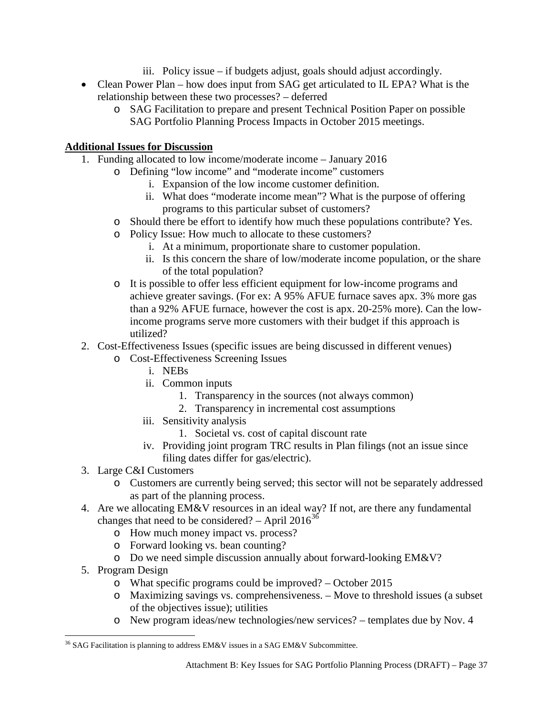- iii. Policy issue if budgets adjust, goals should adjust accordingly.
- Clean Power Plan how does input from SAG get articulated to IL EPA? What is the relationship between these two processes? – deferred
	- o SAG Facilitation to prepare and present Technical Position Paper on possible SAG Portfolio Planning Process Impacts in October 2015 meetings.

# **Additional Issues for Discussion**

- 1. Funding allocated to low income/moderate income January 2016
	- o Defining "low income" and "moderate income" customers
		- i. Expansion of the low income customer definition.
		- ii. What does "moderate income mean"? What is the purpose of offering programs to this particular subset of customers?
	- o Should there be effort to identify how much these populations contribute? Yes.
	- o Policy Issue: How much to allocate to these customers?
		- i. At a minimum, proportionate share to customer population.
		- ii. Is this concern the share of low/moderate income population, or the share of the total population?
	- o It is possible to offer less efficient equipment for low-income programs and achieve greater savings. (For ex: A 95% AFUE furnace saves apx. 3% more gas than a 92% AFUE furnace, however the cost is apx. 20-25% more). Can the lowincome programs serve more customers with their budget if this approach is utilized?
- 2. Cost-Effectiveness Issues (specific issues are being discussed in different venues)
	- o Cost-Effectiveness Screening Issues
		- i. NEBs
		- ii. Common inputs
			- 1. Transparency in the sources (not always common)
			- 2. Transparency in incremental cost assumptions
		- iii. Sensitivity analysis
			- 1. Societal vs. cost of capital discount rate
		- iv. Providing joint program TRC results in Plan filings (not an issue since filing dates differ for gas/electric).
- 3. Large C&I Customers
	- o Customers are currently being served; this sector will not be separately addressed as part of the planning process.
- 4. Are we allocating EM&V resources in an ideal way? If not, are there any fundamental changes that need to be considered? – April  $2016^{36}$  $2016^{36}$  $2016^{36}$ 
	- o How much money impact vs. process?
	- o Forward looking vs. bean counting?
	- o Do we need simple discussion annually about forward-looking EM&V?
- 5. Program Design
	- o What specific programs could be improved? October 2015
	- o Maximizing savings vs. comprehensiveness. Move to threshold issues (a subset of the objectives issue); utilities
	- o New program ideas/new technologies/new services? templates due by Nov. 4

<span id="page-36-0"></span>l  $36$  SAG Facilitation is planning to address EM&V issues in a SAG EM&V Subcommittee.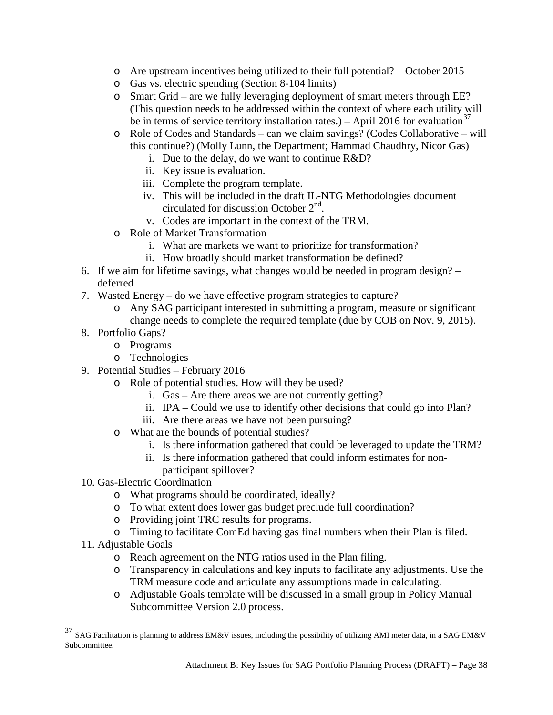- o Are upstream incentives being utilized to their full potential? October 2015
- o Gas vs. electric spending (Section 8-104 limits)
- o Smart Grid are we fully leveraging deployment of smart meters through EE? (This question needs to be addressed within the context of where each utility will be in terms of service territory installation rates.) – April 2016 for evaluation<sup>[37](#page-37-0)</sup>
- o Role of Codes and Standards can we claim savings? (Codes Collaborative will this continue?) (Molly Lunn, the Department; Hammad Chaudhry, Nicor Gas)
	- i. Due to the delay, do we want to continue R&D?
	- ii. Key issue is evaluation.
	- iii. Complete the program template.
	- iv. This will be included in the draft IL-NTG Methodologies document circulated for discussion October 2nd.
	- v. Codes are important in the context of the TRM.
- o Role of Market Transformation
	- i. What are markets we want to prioritize for transformation?
	- ii. How broadly should market transformation be defined?
- 6. If we aim for lifetime savings, what changes would be needed in program design? deferred
- 7. Wasted Energy do we have effective program strategies to capture?
	- o Any SAG participant interested in submitting a program, measure or significant change needs to complete the required template (due by COB on Nov. 9, 2015).
- 8. Portfolio Gaps?
	- o Programs
	- o Technologies
- 9. Potential Studies February 2016
	- o Role of potential studies. How will they be used?
		- i. Gas Are there areas we are not currently getting?
		- ii. IPA Could we use to identify other decisions that could go into Plan?
		- iii. Are there areas we have not been pursuing?
	- o What are the bounds of potential studies?
		- i. Is there information gathered that could be leveraged to update the TRM?
		- ii. Is there information gathered that could inform estimates for nonparticipant spillover?
- 10. Gas-Electric Coordination
	- o What programs should be coordinated, ideally?
	- o To what extent does lower gas budget preclude full coordination?
	- o Providing joint TRC results for programs.
	- o Timing to facilitate ComEd having gas final numbers when their Plan is filed.
- 11. Adjustable Goals
	- o Reach agreement on the NTG ratios used in the Plan filing.
	- o Transparency in calculations and key inputs to facilitate any adjustments. Use the TRM measure code and articulate any assumptions made in calculating.
	- o Adjustable Goals template will be discussed in a small group in Policy Manual Subcommittee Version 2.0 process.

<span id="page-37-0"></span> $37$  SAG Facilitation is planning to address EM&V issues, including the possibility of utilizing AMI meter data, in a SAG EM&V Subcommittee.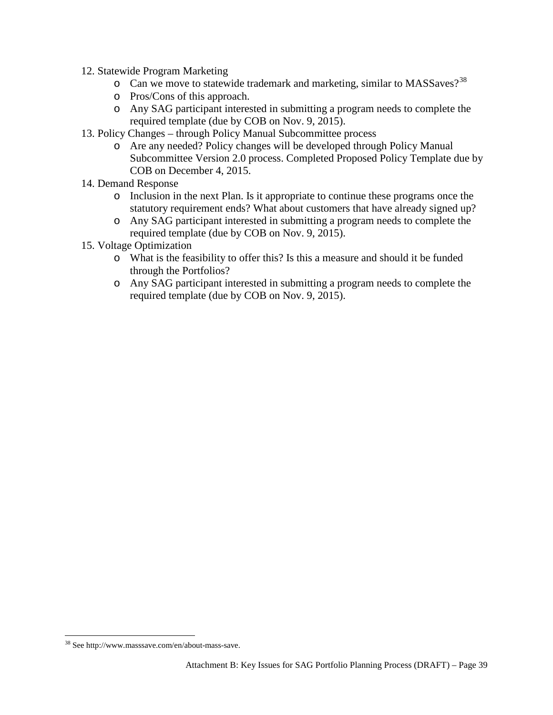- 12. Statewide Program Marketing
	- o Can we move to statewide trademark and marketing, similar to MASSaves?<sup>[38](#page-38-0)</sup>
	- o Pros/Cons of this approach.
	- o Any SAG participant interested in submitting a program needs to complete the required template (due by COB on Nov. 9, 2015).
- 13. Policy Changes through Policy Manual Subcommittee process
	- o Are any needed? Policy changes will be developed through Policy Manual Subcommittee Version 2.0 process. Completed Proposed Policy Template due by COB on December 4, 2015.
- 14. Demand Response
	- o Inclusion in the next Plan. Is it appropriate to continue these programs once the statutory requirement ends? What about customers that have already signed up?
	- o Any SAG participant interested in submitting a program needs to complete the required template (due by COB on Nov. 9, 2015).
- 15. Voltage Optimization
	- o What is the feasibility to offer this? Is this a measure and should it be funded through the Portfolios?
	- o Any SAG participant interested in submitting a program needs to complete the required template (due by COB on Nov. 9, 2015).

l

<span id="page-38-0"></span><sup>&</sup>lt;sup>38</sup> Se[e http://www.masssave.com/en/about-mass-save.](http://www.masssave.com/en/about-mass-save)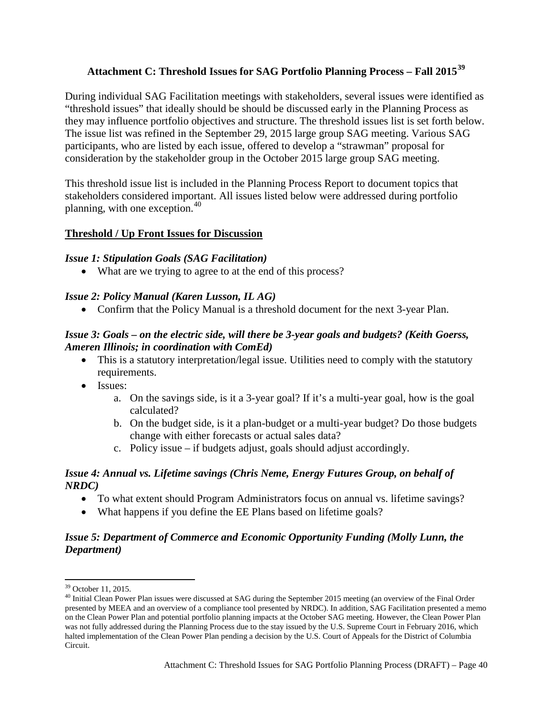# <span id="page-39-0"></span>**Attachment C: Threshold Issues for SAG Portfolio Planning Process – Fall 2015[39](#page-39-1)**

During individual SAG Facilitation meetings with stakeholders, several issues were identified as "threshold issues" that ideally should be should be discussed early in the Planning Process as they may influence portfolio objectives and structure. The threshold issues list is set forth below. The issue list was refined in the September 29, 2015 large group SAG meeting. Various SAG participants, who are listed by each issue, offered to develop a "strawman" proposal for consideration by the stakeholder group in the October 2015 large group SAG meeting.

This threshold issue list is included in the Planning Process Report to document topics that stakeholders considered important. All issues listed below were addressed during portfolio planning, with one exception.<sup>[40](#page-39-2)</sup>

## **Threshold / Up Front Issues for Discussion**

### *Issue 1: Stipulation Goals (SAG Facilitation)*

• What are we trying to agree to at the end of this process?

## *Issue 2: Policy Manual (Karen Lusson, IL AG)*

• Confirm that the Policy Manual is a threshold document for the next 3-year Plan.

## *Issue 3: Goals – on the electric side, will there be 3-year goals and budgets? (Keith Goerss, Ameren Illinois; in coordination with ComEd)*

- This is a statutory interpretation/legal issue. Utilities need to comply with the statutory requirements.
- Issues:
	- a. On the savings side, is it a 3-year goal? If it's a multi-year goal, how is the goal calculated?
	- b. On the budget side, is it a plan-budget or a multi-year budget? Do those budgets change with either forecasts or actual sales data?
	- c. Policy issue if budgets adjust, goals should adjust accordingly.

## *Issue 4: Annual vs. Lifetime savings (Chris Neme, Energy Futures Group, on behalf of NRDC)*

- To what extent should Program Administrators focus on annual vs. lifetime savings?
- What happens if you define the EE Plans based on lifetime goals?

# *Issue 5: Department of Commerce and Economic Opportunity Funding (Molly Lunn, the Department)*

 $\overline{\phantom{a}}$ 

<span id="page-39-2"></span><span id="page-39-1"></span> $39$  October 11, 2015.<br> $40$  Initial Clean Power Plan issues were discussed at SAG during the September 2015 meeting (an overview of the Final Order presented by MEEA and an overview of a compliance tool presented by NRDC). In addition, SAG Facilitation presented a memo on the Clean Power Plan and potential portfolio planning impacts at the October SAG meeting. However, the Clean Power Plan was not fully addressed during the Planning Process due to the stay issued by the U.S. Supreme Court in February 2016, which halted implementation of the Clean Power Plan pending a decision by the U.S. Court of Appeals for the District of Columbia Circuit.